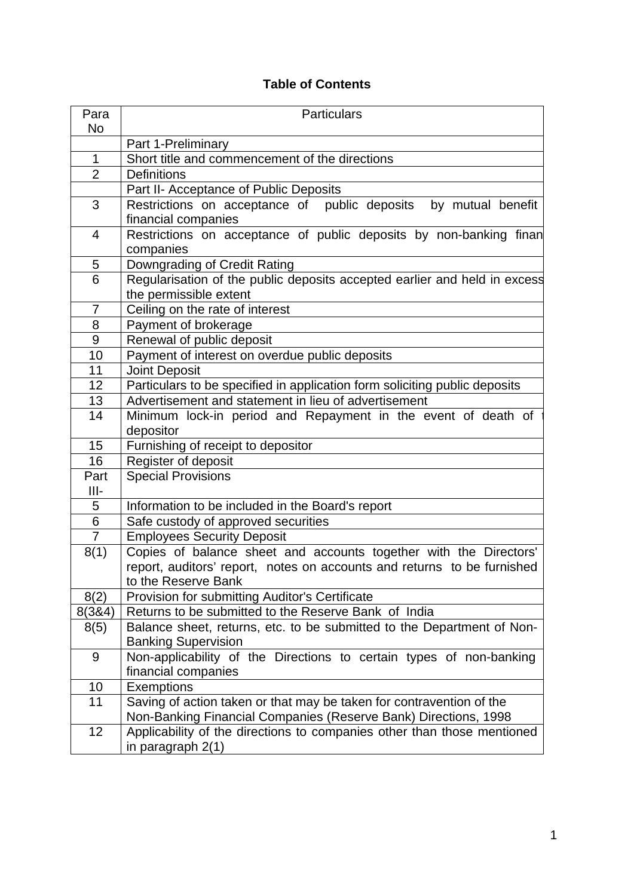# **Table of Contents**

| Para<br>No     | <b>Particulars</b>                                                                                                             |  |  |  |
|----------------|--------------------------------------------------------------------------------------------------------------------------------|--|--|--|
|                | Part 1-Preliminary                                                                                                             |  |  |  |
| $\mathbf{1}$   | Short title and commencement of the directions                                                                                 |  |  |  |
| $\overline{2}$ | <b>Definitions</b>                                                                                                             |  |  |  |
|                | Part II- Acceptance of Public Deposits                                                                                         |  |  |  |
| 3              | Restrictions on acceptance of public deposits by mutual benefit                                                                |  |  |  |
|                | financial companies                                                                                                            |  |  |  |
| $\overline{4}$ | Restrictions on acceptance of public deposits by non-banking finan                                                             |  |  |  |
|                | companies                                                                                                                      |  |  |  |
| 5              | Downgrading of Credit Rating                                                                                                   |  |  |  |
| 6              | Regularisation of the public deposits accepted earlier and held in excess                                                      |  |  |  |
|                | the permissible extent                                                                                                         |  |  |  |
| $\overline{7}$ | Ceiling on the rate of interest                                                                                                |  |  |  |
| 8              | Payment of brokerage                                                                                                           |  |  |  |
| 9              | Renewal of public deposit                                                                                                      |  |  |  |
| 10             | Payment of interest on overdue public deposits                                                                                 |  |  |  |
| 11             | <b>Joint Deposit</b>                                                                                                           |  |  |  |
| 12             | Particulars to be specified in application form soliciting public deposits                                                     |  |  |  |
| 13             | Advertisement and statement in lieu of advertisement                                                                           |  |  |  |
| 14             | Minimum lock-in period and Repayment in the event of death of                                                                  |  |  |  |
|                | depositor                                                                                                                      |  |  |  |
| 15             | Furnishing of receipt to depositor                                                                                             |  |  |  |
| 16             | Register of deposit                                                                                                            |  |  |  |
| Part           | <b>Special Provisions</b>                                                                                                      |  |  |  |
| $III -$        |                                                                                                                                |  |  |  |
| 5              | Information to be included in the Board's report                                                                               |  |  |  |
| 6              | Safe custody of approved securities                                                                                            |  |  |  |
| 7              | <b>Employees Security Deposit</b>                                                                                              |  |  |  |
| 8(1)           | Copies of balance sheet and accounts together with the Directors'                                                              |  |  |  |
|                | report, auditors' report, notes on accounts and returns to be furnished<br>to the Reserve Bank                                 |  |  |  |
|                |                                                                                                                                |  |  |  |
| 8(2)<br>8(384) | <b>Provision for submitting Auditor's Certificate</b>                                                                          |  |  |  |
| 8(5)           | Returns to be submitted to the Reserve Bank of India<br>Balance sheet, returns, etc. to be submitted to the Department of Non- |  |  |  |
|                | <b>Banking Supervision</b>                                                                                                     |  |  |  |
| 9              | Non-applicability of the Directions to certain types of non-banking                                                            |  |  |  |
|                | financial companies                                                                                                            |  |  |  |
| 10             | <b>Exemptions</b>                                                                                                              |  |  |  |
| 11             | Saving of action taken or that may be taken for contravention of the                                                           |  |  |  |
|                | Non-Banking Financial Companies (Reserve Bank) Directions, 1998                                                                |  |  |  |
| 12             | Applicability of the directions to companies other than those mentioned<br>in paragraph 2(1)                                   |  |  |  |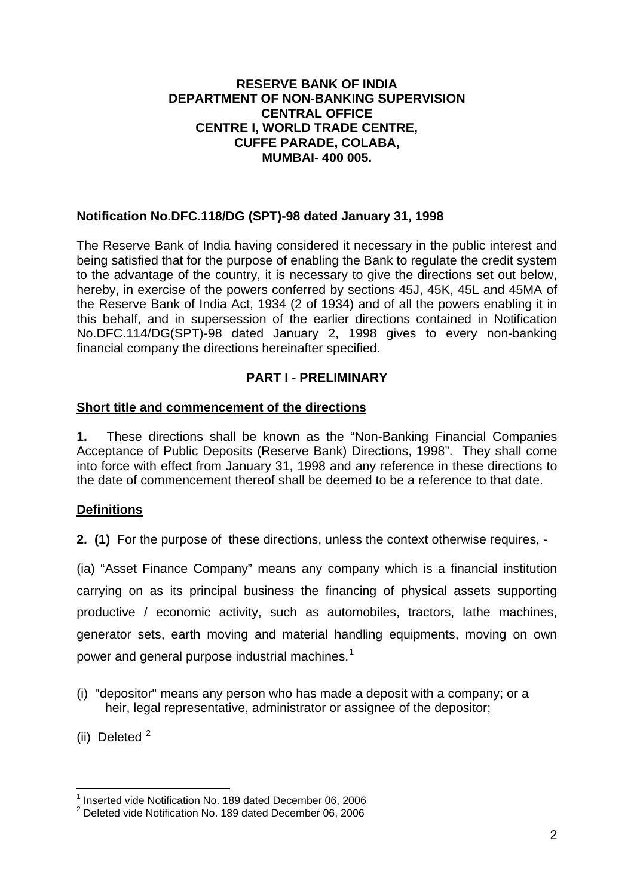### **RESERVE BANK OF INDIA DEPARTMENT OF NON-BANKING SUPERVISION CENTRAL OFFICE CENTRE I, WORLD TRADE CENTRE, CUFFE PARADE, COLABA, MUMBAI- 400 005.**

## **Notification No.DFC.118/DG (SPT)-98 dated January 31, 1998**

The Reserve Bank of India having considered it necessary in the public interest and being satisfied that for the purpose of enabling the Bank to regulate the credit system to the advantage of the country, it is necessary to give the directions set out below, hereby, in exercise of the powers conferred by sections 45J, 45K, 45L and 45MA of the Reserve Bank of India Act, 1934 (2 of 1934) and of all the powers enabling it in this behalf, and in supersession of the earlier directions contained in Notification No.DFC.114/DG(SPT)-98 dated January 2, 1998 gives to every non-banking financial company the directions hereinafter specified.

## **PART I - PRELIMINARY**

### **Short title and commencement of the directions**

**1.** These directions shall be known as the "Non-Banking Financial Companies Acceptance of Public Deposits (Reserve Bank) Directions, 1998". They shall come into force with effect from January 31, 1998 and any reference in these directions to the date of commencement thereof shall be deemed to be a reference to that date.

### **Definitions**

**2. (1)** For the purpose of these directions, unless the context otherwise requires, -

(ia) "Asset Finance Company" means any company which is a financial institution carrying on as its principal business the financing of physical assets supporting productive / economic activity, such as automobiles, tractors, lathe machines, generator sets, earth moving and material handling equipments, moving on own power and general purpose industrial machines.<sup>[1](#page-1-0)</sup>

- (i) "depositor" means any person who has made a deposit with a company; or a heir, legal representative, administrator or assignee of the depositor;
- (ii) Deleted  $2$

<span id="page-1-0"></span><sup>&</sup>lt;sup>1</sup> Inserted vide Notification No. 189 dated December 06, 2006

<span id="page-1-1"></span><sup>&</sup>lt;sup>2</sup> Deleted vide Notification No. 189 dated December 06, 2006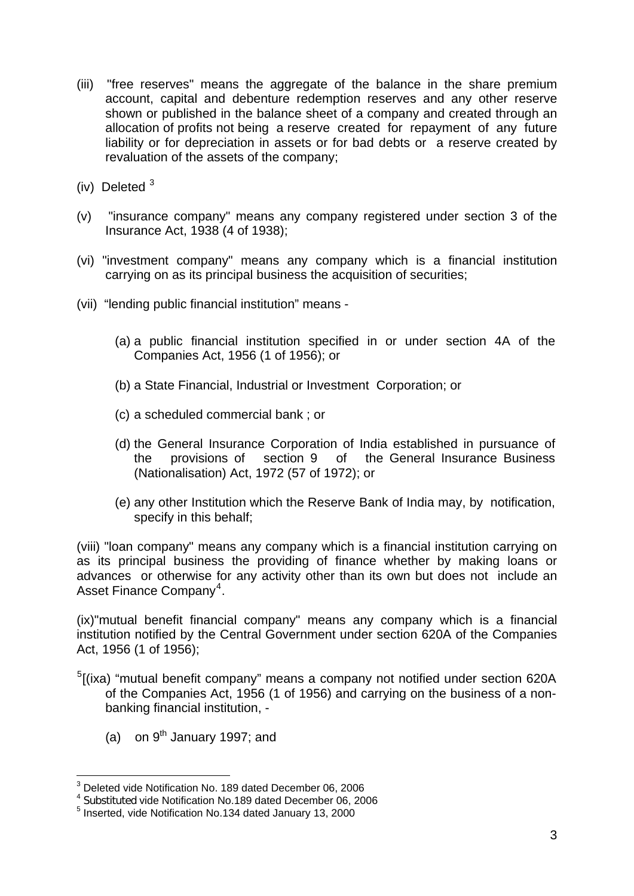- (iii) "free reserves" means the aggregate of the balance in the share premium account, capital and debenture redemption reserves and any other reserve shown or published in the balance sheet of a company and created through an allocation of profits not being a reserve created for repayment of any future liability or for depreciation in assets or for bad debts or a reserve created by revaluation of the assets of the company;
- (iv) Deleted [3](#page-2-0)
- (v) "insurance company" means any company registered under section 3 of the Insurance Act, 1938 (4 of 1938);
- (vi) "investment company" means any company which is a financial institution carrying on as its principal business the acquisition of securities;
- (vii) "lending public financial institution" means
	- (a) a public financial institution specified in or under section 4A of the Companies Act, 1956 (1 of 1956); or
	- (b) a State Financial, Industrial or Investment Corporation; or
	- (c) a scheduled commercial bank ; or
	- (d) the General Insurance Corporation of India established in pursuance of the provisions of section 9 of the General Insurance Business (Nationalisation) Act, 1972 (57 of 1972); or
	- (e) any other Institution which the Reserve Bank of India may, by notification, specify in this behalf;

(viii) "loan company" means any company which is a financial institution carrying on as its principal business the providing of finance whether by making loans or advances or otherwise for any activity other than its own but does not include an Asset Finance Company<sup>[4](#page-2-1)</sup>.

(ix)"mutual benefit financial company" means any company which is a financial institution notified by the Central Government under section 620A of the Companies Act, 1956 (1 of 1956);

- <sup>[5](#page-2-2)</sup>[(ixa) "mutual benefit company" means a company not notified under section 620A of the Companies Act, 1956 (1 of 1956) and carrying on the business of a nonbanking financial institution, -
	- (a) on  $9^{th}$  January 1997; and

 3 Deleted vide Notification No. 189 dated December 06, 2006

<span id="page-2-1"></span><span id="page-2-0"></span><sup>4</sup> Substituted vide Notification No.189 dated December 06, 2006

<span id="page-2-2"></span><sup>5</sup> Inserted, vide Notification No.134 dated January 13, 2000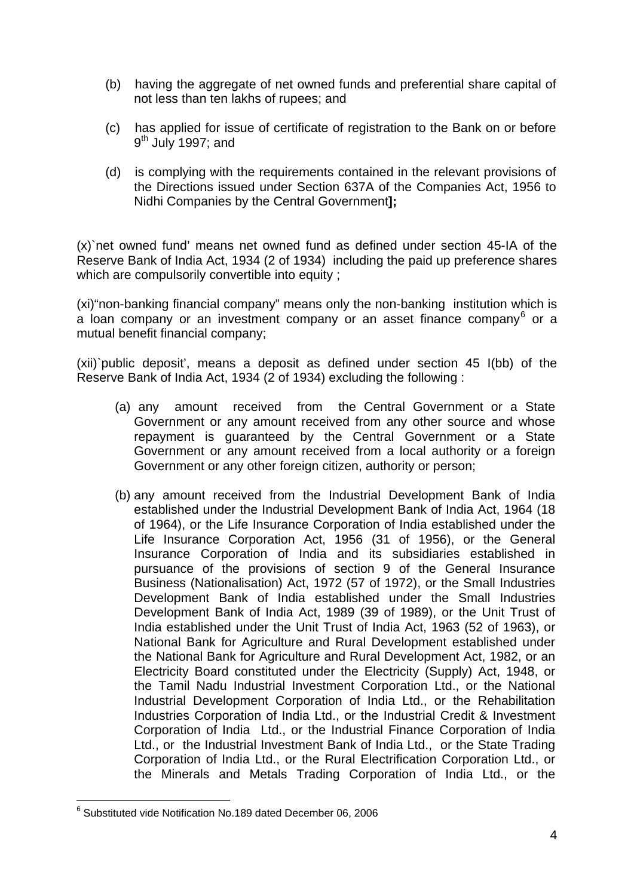- (b) having the aggregate of net owned funds and preferential share capital of not less than ten lakhs of rupees; and
- (c) has applied for issue of certificate of registration to the Bank on or before  $9<sup>th</sup>$  July 1997; and
- (d) is complying with the requirements contained in the relevant provisions of the Directions issued under Section 637A of the Companies Act, 1956 to Nidhi Companies by the Central Government**];**

(x)`net owned fund' means net owned fund as defined under section 45-IA of the Reserve Bank of India Act, 1934 (2 of 1934) including the paid up preference shares which are compulsorily convertible into equity ;

(xi)"non-banking financial company" means only the non-banking institution which is  $\alpha$  loan company or an investment company or an asset finance company $^6$  $^6$  or a mutual benefit financial company;

(xii)`public deposit', means a deposit as defined under section 45 I(bb) of the Reserve Bank of India Act, 1934 (2 of 1934) excluding the following :

- (a) any amount received from the Central Government or a State Government or any amount received from any other source and whose repayment is guaranteed by the Central Government or a State Government or any amount received from a local authority or a foreign Government or any other foreign citizen, authority or person;
- (b) any amount received from the Industrial Development Bank of India established under the Industrial Development Bank of India Act, 1964 (18 of 1964), or the Life Insurance Corporation of India established under the Life Insurance Corporation Act, 1956 (31 of 1956), or the General Insurance Corporation of India and its subsidiaries established in pursuance of the provisions of section 9 of the General Insurance Business (Nationalisation) Act, 1972 (57 of 1972), or the Small Industries Development Bank of India established under the Small Industries Development Bank of India Act, 1989 (39 of 1989), or the Unit Trust of India established under the Unit Trust of India Act, 1963 (52 of 1963), or National Bank for Agriculture and Rural Development established under the National Bank for Agriculture and Rural Development Act, 1982, or an Electricity Board constituted under the Electricity (Supply) Act, 1948, or the Tamil Nadu Industrial Investment Corporation Ltd., or the National Industrial Development Corporation of India Ltd., or the Rehabilitation Industries Corporation of India Ltd., or the Industrial Credit & Investment Corporation of India Ltd., or the Industrial Finance Corporation of India Ltd., or the Industrial Investment Bank of India Ltd., or the State Trading Corporation of India Ltd., or the Rural Electrification Corporation Ltd., or the Minerals and Metals Trading Corporation of India Ltd., or the

<span id="page-3-0"></span> 6 Substituted vide Notification No.189 dated December 06, 2006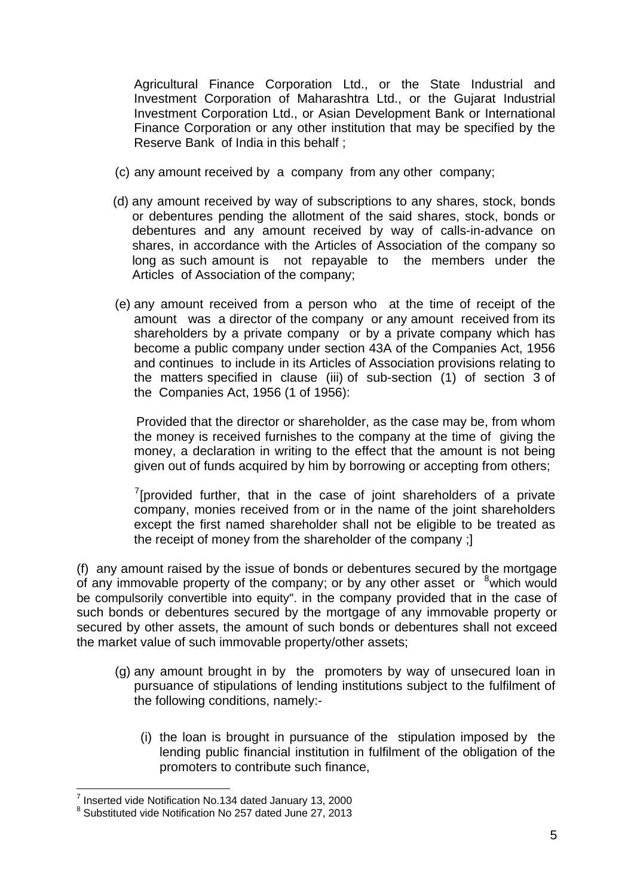Agricultural Finance Corporation Ltd., or the State Industrial and Investment Corporation of Maharashtra Ltd., or the Gujarat Industrial Investment Corporation Ltd., or Asian Development Bank or International Finance Corporation or any other institution that may be specified by the Reserve Bank of India in this behalf ;

- (c) any amount received by a company from any other company;
- (d) any amount received by way of subscriptions to any shares, stock, bonds or debentures pending the allotment of the said shares, stock, bonds or debentures and any amount received by way of calls-in-advance on shares, in accordance with the Articles of Association of the company so long as such amount is not repayable to the members under the Articles of Association of the company;
- (e) any amount received from a person who at the time of receipt of the amount was a director of the company or any amount received from its shareholders by a private company or by a private company which has become a public company under section 43A of the Companies Act, 1956 and continues to include in its Articles of Association provisions relating to the matters specified in clause (iii) of sub-section (1) of section 3 of the Companies Act, 1956 (1 of 1956):

 Provided that the director or shareholder, as the case may be, from whom the money is received furnishes to the company at the time of giving the money, a declaration in writing to the effect that the amount is not being given out of funds acquired by him by borrowing or accepting from others;

 $7$ [provided further, that in the case of joint shareholders of a private company, monies received from or in the name of the joint shareholders except the first named shareholder shall not be eligible to be treated as the receipt of money from the shareholder of the company ;]

(f) any amount raised by the issue of bonds or debentures secured by the mortgage of any immovable property of the company; or by any other asset or  $8$  which would be compulsorily convertible into equity". in the company provided that in the case of such bonds or debentures secured by the mortgage of any immovable property or secured by other assets, the amount of such bonds or debentures shall not exceed the market value of such immovable property/other assets;

- (g) any amount brought in by the promoters by way of unsecured loan in pursuance of stipulations of lending institutions subject to the fulfilment of the following conditions, namely:-
	- (i) the loan is brought in pursuance of the stipulation imposed by the lending public financial institution in fulfilment of the obligation of the promoters to contribute such finance,

<sup>1</sup> <sup>7</sup> Inserted vide Notification No.134 dated January 13, 2000

<span id="page-4-1"></span><span id="page-4-0"></span><sup>&</sup>lt;sup>8</sup> Substituted vide Notification No 257 dated June 27, 2013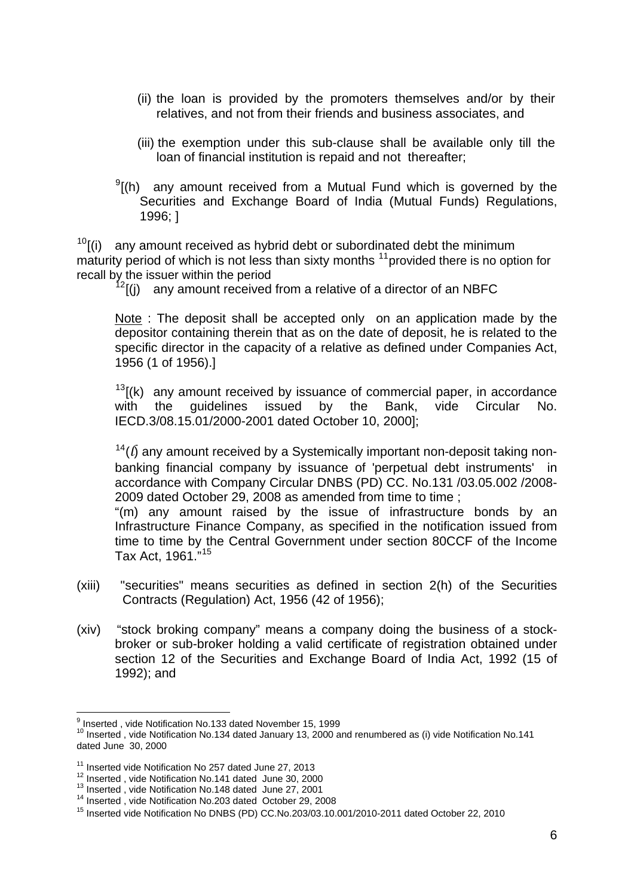- (ii) the loan is provided by the promoters themselves and/or by their relatives, and not from their friends and business associates, and
- (iii) the exemption under this sub-clause shall be available only till the loan of financial institution is repaid and not thereafter;
- $^{9}$  $^{9}$  $^{9}$ [(h) any amount received from a Mutual Fund which is governed by the Securities and Exchange Board of India (Mutual Funds) Regulations, 1996; ]

 $10$ [(i) any amount received as hybrid debt or subordinated debt the minimum maturity period of which is not less than sixty months <sup>[11](#page-5-2)</sup> provided there is no option for recall by the issuer within the period<br><sup>[12](#page-5-3)</sup>[(j) any amount received from a relative of a director of an NBFC

Note : The deposit shall be accepted only on an application made by the depositor containing therein that as on the date of deposit, he is related to the specific director in the capacity of a relative as defined under Companies Act, 1956 (1 of 1956).]

 $13$ [(k) any amount received by issuance of commercial paper, in accordance with the guidelines issued by the Bank, vide Circular No. IECD.3/08.15.01/2000-2001 dated October 10, 2000];

 $14(1)$  $14(1)$  any amount received by a Systemically important non-deposit taking nonbanking financial company by issuance of 'perpetual debt instruments' in accordance with Company Circular DNBS (PD) CC. No.131 /03.05.002 /2008- 2009 dated October 29, 2008 as amended from time to time ;

"(m) any amount raised by the issue of infrastructure bonds by an Infrastructure Finance Company, as specified in the notification issued from time to time by the Central Government under section 80CCF of the Income Tax Act, 1961."[15](#page-5-6)

- (xiii) "securities" means securities as defined in section 2(h) of the Securities Contracts (Regulation) Act, 1956 (42 of 1956);
- (xiv) "stock broking company" means a company doing the business of a stockbroker or sub-broker holding a valid certificate of registration obtained under section 12 of the Securities and Exchange Board of India Act, 1992 (15 of 1992); and

 9 Inserted , vide Notification No.133 dated November 15, 1999

<span id="page-5-1"></span><span id="page-5-0"></span><sup>10</sup> Inserted , vide Notification No.134 dated January 13, 2000 and renumbered as (i) vide Notification No.141 dated June 30, 2000

<span id="page-5-4"></span>

<span id="page-5-3"></span><span id="page-5-2"></span><sup>&</sup>lt;sup>11</sup> Inserted vide Notification No 257 dated June 27, 2013<br><sup>12</sup> Inserted , vide Notification No.141 dated June 30, 2000<br><sup>13</sup> Inserted , vide Notification No.148 dated June 27, 2001<br><sup>14</sup> Inserted , vide Notification No.203

<span id="page-5-6"></span><span id="page-5-5"></span><sup>15</sup> Inserted vide Notification No DNBS (PD) CC.No.203/03.10.001/2010-2011 dated October 22, 2010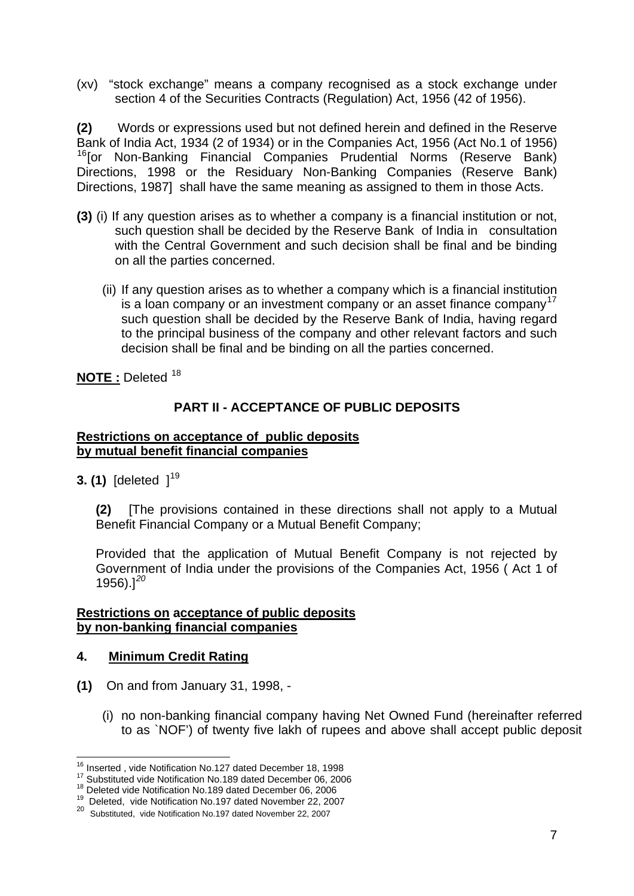(xv) "stock exchange" means a company recognised as a stock exchange under section 4 of the Securities Contracts (Regulation) Act, 1956 (42 of 1956).

**(2)** Words or expressions used but not defined herein and defined in the Reserve Bank of India Act, 1934 (2 of 1934) or in the Companies Act, 1956 (Act No.1 of 1956) <sup>[16](#page-6-0)</sup>[or Non-Banking Financial Companies Prudential Norms (Reserve Bank) Directions, 1998 or the Residuary Non-Banking Companies (Reserve Bank) Directions, 1987] shall have the same meaning as assigned to them in those Acts.

- **(3)** (i) If any question arises as to whether a company is a financial institution or not, such question shall be decided by the Reserve Bank of India in consultation with the Central Government and such decision shall be final and be binding on all the parties concerned.
	- (ii) If any question arises as to whether a company which is a financial institution is a loan company or an investment company or an asset finance company<sup>[17](#page-6-1)</sup> such question shall be decided by the Reserve Bank of India, having regard to the principal business of the company and other relevant factors and such decision shall be final and be binding on all the parties concerned.

**NOTE** : Deleted <sup>[18](#page-6-2)</sup>

# **PART II - ACCEPTANCE OF PUBLIC DEPOSITS**

#### **Restrictions on acceptance of public deposits by mutual benefit financial companies**

**3. (1)** [deleted ]<sup>[19](#page-6-3)</sup>

**(2)** [The provisions contained in these directions shall not apply to a Mutual Benefit Financial Company or a Mutual Benefit Company;

Provided that the application of Mutual Benefit Company is not rejected by Government of India under the provisions of the Companies Act, 1956 ( Act 1 of 1956).]*[20](#page-6-4)*

#### **Restrictions on acceptance of public deposits by non-banking financial companies**

### **4. Minimum Credit Rating**

- **(1)** On and from January 31, 1998,
	- (i) no non-banking financial company having Net Owned Fund (hereinafter referred to as `NOF') of twenty five lakh of rupees and above shall accept public deposit

<span id="page-6-0"></span><sup>&</sup>lt;sup>16</sup> Inserted, vide Notification No.127 dated December 18, 1998

<span id="page-6-2"></span><span id="page-6-1"></span><sup>&</sup>lt;sup>17</sup> Substituted vide Notification No.189 dated December 06, 2006<br><sup>18</sup> Deleted vide Notification No.189 dated December 06, 2006<br><sup>19</sup> Deleted, vide Notification No.197 dated November 22, 2007

<span id="page-6-4"></span><span id="page-6-3"></span><sup>20</sup> Substituted, vide Notification No.197 dated November 22, 2007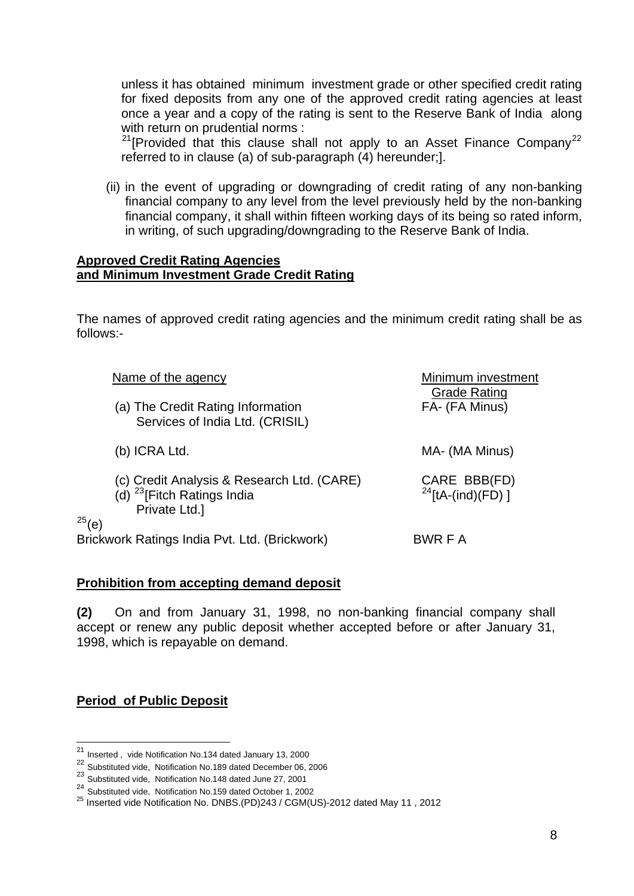unless it has obtained minimum investment grade or other specified credit rating for fixed deposits from any one of the approved credit rating agencies at least once a year and a copy of the rating is sent to the Reserve Bank of India along with return on prudential norms :

<sup>[21](#page-7-0)</sup>[Provided that this clause shall not apply to an Asset Finance Company<sup>[22](#page-7-1)</sup> referred to in clause (a) of sub-paragraph (4) hereunder;].

(ii) in the event of upgrading or downgrading of credit rating of any non-banking financial company to any level from the level previously held by the non-banking financial company, it shall within fifteen working days of its being so rated inform, in writing, of such upgrading/downgrading to the Reserve Bank of India.

#### **Approved Credit Rating Agencies and Minimum Investment Grade Credit Rating**

The names of approved credit rating agencies and the minimum credit rating shall be as follows:-

| Name of the agency                                                                                                   | Minimum investment<br><b>Grade Rating</b> |
|----------------------------------------------------------------------------------------------------------------------|-------------------------------------------|
| (a) The Credit Rating Information<br>Services of India Ltd. (CRISIL)                                                 | FA- (FA Minus)                            |
| (b) ICRA Ltd.                                                                                                        | MA- (MA Minus)                            |
| (c) Credit Analysis & Research Ltd. (CARE)<br>(d) <sup>23</sup> [Fitch Ratings India<br>Private Ltd.]<br>$^{25}$ (e) | CARE BBB(FD)<br>$^{24}$ [tA-(ind)(FD) ]   |
| Brickwork Ratings India Pvt. Ltd. (Brickwork)                                                                        | BWR F A                                   |

### **Prohibition from accepting demand deposit**

**(2)** On and from January 31, 1998, no non-banking financial company shall accept or renew any public deposit whether accepted before or after January 31, 1998, which is repayable on demand.

### **Period of Public Deposit**

<sup>&</sup>lt;sup>21</sup> Inserted, vide Notification No.134 dated January 13, 2000

<span id="page-7-1"></span><span id="page-7-0"></span><sup>22</sup> Substituted vide, Notification No.189 dated December 06, 2006

<span id="page-7-2"></span><sup>&</sup>lt;sup>23</sup> Substituted vide, Notification No.148 dated June 27, 2001<br><sup>24</sup> Substituted vide, Notification No.159 dated October 1, 2002

<span id="page-7-4"></span><span id="page-7-3"></span><sup>&</sup>lt;sup>25</sup> Inserted vide Notification No. DNBS.(PD)243 / CGM(US)-2012 dated May 11, 2012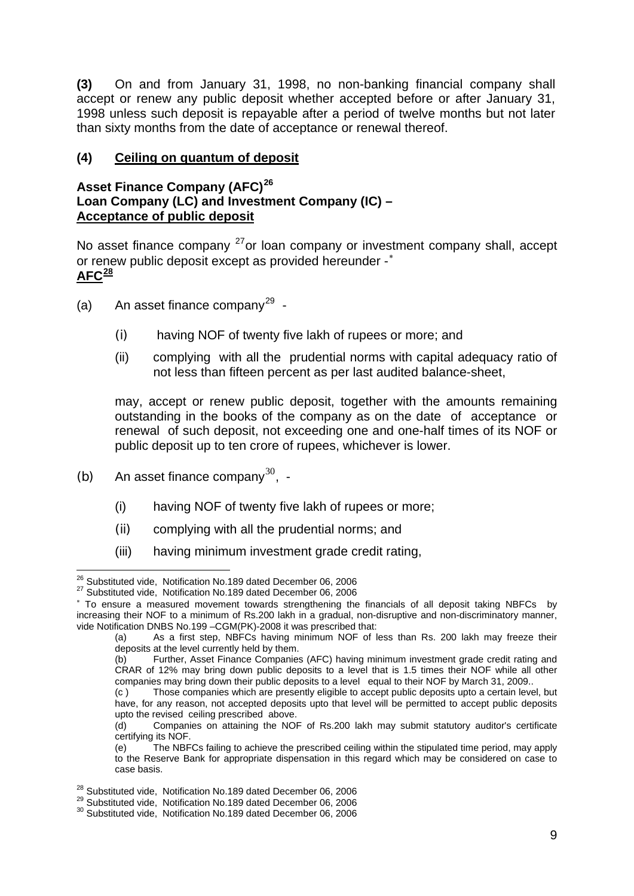**(3)** On and from January 31, 1998, no non-banking financial company shall accept or renew any public deposit whether accepted before or after January 31, 1998 unless such deposit is repayable after a period of twelve months but not later than sixty months from the date of acceptance or renewal thereof.

# **(4) Ceiling on quantum of deposit**

## **Asset Finance Company (AFC)[26](#page-8-0) Loan Company (LC) and Investment Company (IC) – Acceptance of public deposit**

No asset finance company <sup>[27](#page-8-1)</sup> or loan company or investment company shall, accept or renew public deposit except as provided hereunder -<sup>\*</sup> **AFC[28](#page-8-3)**

- (a) An asset finance company<sup>[29](#page-8-4)</sup> -
	- (i) having NOF of twenty five lakh of rupees or more; and
	- (ii) complying with all the prudential norms with capital adequacy ratio of not less than fifteen percent as per last audited balance-sheet,

may, accept or renew public deposit, together with the amounts remaining outstanding in the books of the company as on the date of acceptance or renewal of such deposit, not exceeding one and one-half times of its NOF or public deposit up to ten crore of rupees, whichever is lower.

- (b) An asset finance company $^{30}$  $^{30}$  $^{30}$ , -
	- (i) having NOF of twenty five lakh of rupees or more;
	- (ii) complying with all the prudential norms; and
	- (iii) having minimum investment grade credit rating,

<span id="page-8-0"></span><sup>&</sup>lt;sup>26</sup> Substituted vide, Notification No.189 dated December 06, 2006

<span id="page-8-1"></span><sup>26</sup> Substituted vide, Notification No.189 dated December 06, 2006 27 Substituted vide, Notification No.189 dated December 06, 2006

<span id="page-8-2"></span><sup>∗</sup> To ensure a measured movement towards strengthening the financials of all deposit taking NBFCs by increasing their NOF to a minimum of Rs.200 lakh in a gradual, non-disruptive and non-discriminatory manner, vide Notification DNBS No.199 –CGM(PK)-2008 it was prescribed that:

<sup>(</sup>a) As a first step, NBFCs having minimum NOF of less than Rs. 200 lakh may freeze their deposits at the level currently held by them.

<sup>(</sup>b) Further, Asset Finance Companies (AFC) having minimum investment grade credit rating and CRAR of 12% may bring down public deposits to a level that is 1.5 times their NOF while all other companies may bring down their public deposits to a level equal to their NOF by March 31, 2009..

<sup>(</sup>c ) Those companies which are presently eligible to accept public deposits upto a certain level, but have, for any reason, not accepted deposits upto that level will be permitted to accept public deposits upto the revised ceiling prescribed above.

<sup>(</sup>d) Companies on attaining the NOF of Rs.200 lakh may submit statutory auditor's certificate certifying its NOF.

<sup>(</sup>e) The NBFCs failing to achieve the prescribed ceiling within the stipulated time period, may apply to the Reserve Bank for appropriate dispensation in this regard which may be considered on case to case basis.

<span id="page-8-4"></span><span id="page-8-3"></span><sup>&</sup>lt;sup>28</sup> Substituted vide, Notification No.189 dated December 06, 2006<br><sup>29</sup> Substituted vide, Notification No.189 dated December 06, 2006<br><sup>30</sup> Substituted vide, Notification No.189 dated December 06, 2006

<span id="page-8-5"></span>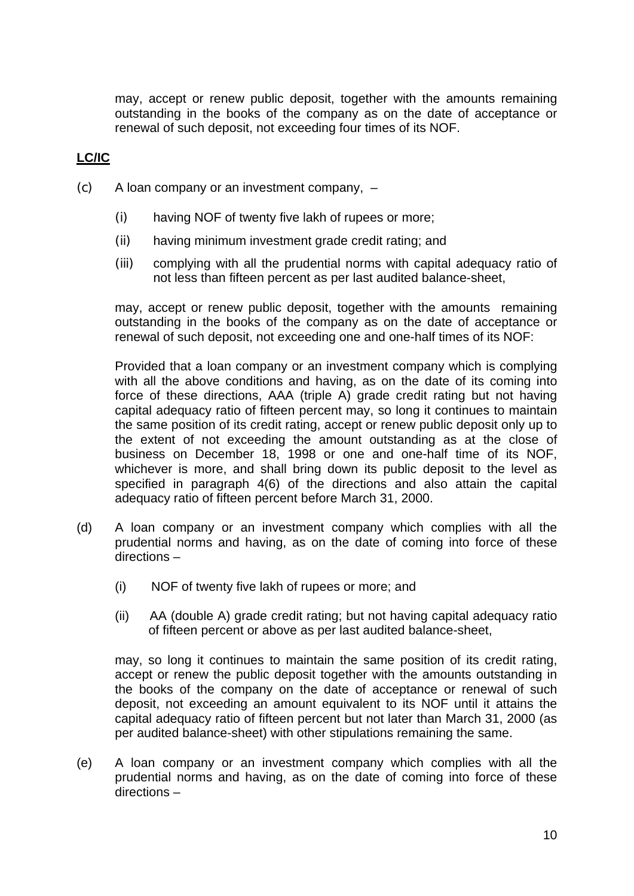may, accept or renew public deposit, together with the amounts remaining outstanding in the books of the company as on the date of acceptance or renewal of such deposit, not exceeding four times of its NOF.

# **LC/IC**

- (c) A loan company or an investment company,
	- (i) having NOF of twenty five lakh of rupees or more;
	- (ii) having minimum investment grade credit rating; and
	- (iii) complying with all the prudential norms with capital adequacy ratio of not less than fifteen percent as per last audited balance-sheet,

may, accept or renew public deposit, together with the amounts remaining outstanding in the books of the company as on the date of acceptance or renewal of such deposit, not exceeding one and one-half times of its NOF:

Provided that a loan company or an investment company which is complying with all the above conditions and having, as on the date of its coming into force of these directions, AAA (triple A) grade credit rating but not having capital adequacy ratio of fifteen percent may, so long it continues to maintain the same position of its credit rating, accept or renew public deposit only up to the extent of not exceeding the amount outstanding as at the close of business on December 18, 1998 or one and one-half time of its NOF, whichever is more, and shall bring down its public deposit to the level as specified in paragraph 4(6) of the directions and also attain the capital adequacy ratio of fifteen percent before March 31, 2000.

- (d) A loan company or an investment company which complies with all the prudential norms and having, as on the date of coming into force of these directions –
	- (i) NOF of twenty five lakh of rupees or more; and
	- (ii) AA (double A) grade credit rating; but not having capital adequacy ratio of fifteen percent or above as per last audited balance-sheet,

may, so long it continues to maintain the same position of its credit rating, accept or renew the public deposit together with the amounts outstanding in the books of the company on the date of acceptance or renewal of such deposit, not exceeding an amount equivalent to its NOF until it attains the capital adequacy ratio of fifteen percent but not later than March 31, 2000 (as per audited balance-sheet) with other stipulations remaining the same.

(e) A loan company or an investment company which complies with all the prudential norms and having, as on the date of coming into force of these directions –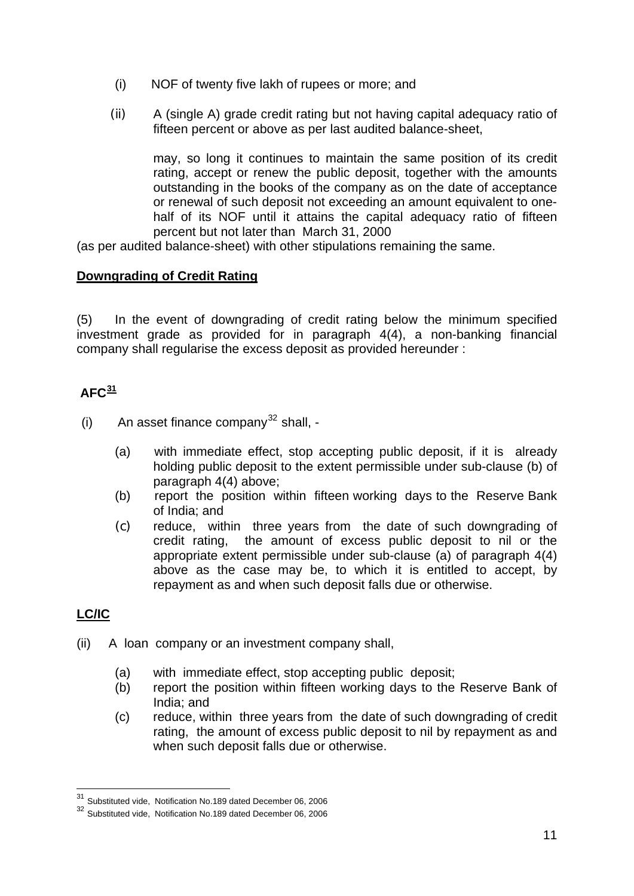- (i) NOF of twenty five lakh of rupees or more; and
- (ii) A (single A) grade credit rating but not having capital adequacy ratio of fifteen percent or above as per last audited balance-sheet,

may, so long it continues to maintain the same position of its credit rating, accept or renew the public deposit, together with the amounts outstanding in the books of the company as on the date of acceptance or renewal of such deposit not exceeding an amount equivalent to onehalf of its NOF until it attains the capital adequacy ratio of fifteen percent but not later than March 31, 2000

(as per audited balance-sheet) with other stipulations remaining the same.

### **Downgrading of Credit Rating**

(5) In the event of downgrading of credit rating below the minimum specified investment grade as provided for in paragraph 4(4), a non-banking financial company shall regularise the excess deposit as provided hereunder :

# $\Delta$ FC $\frac{31}{2}$  $\frac{31}{2}$  $\frac{31}{2}$

(i) An asset finance company<sup>[32](#page-10-1)</sup> shall,  $-$ 

- (a) with immediate effect, stop accepting public deposit, if it is already holding public deposit to the extent permissible under sub-clause (b) of paragraph 4(4) above;
- (b) report the position within fifteen working days to the Reserve Bank of India; and
- (c) reduce, within three years from the date of such downgrading of credit rating, the amount of excess public deposit to nil or the appropriate extent permissible under sub-clause (a) of paragraph 4(4) above as the case may be, to which it is entitled to accept, by repayment as and when such deposit falls due or otherwise.

# **LC/IC**

- (ii) A loan company or an investment company shall,
	- (a) with immediate effect, stop accepting public deposit;
	- (b) report the position within fifteen working days to the Reserve Bank of India; and
	- (c) reduce, within three years from the date of such downgrading of credit rating, the amount of excess public deposit to nil by repayment as and when such deposit falls due or otherwise.

<sup>&</sup>lt;sup>31</sup> Substituted vide, Notification No.189 dated December 06, 2006

<span id="page-10-1"></span><span id="page-10-0"></span><sup>32</sup> Substituted vide, Notification No.189 dated December 06, 2006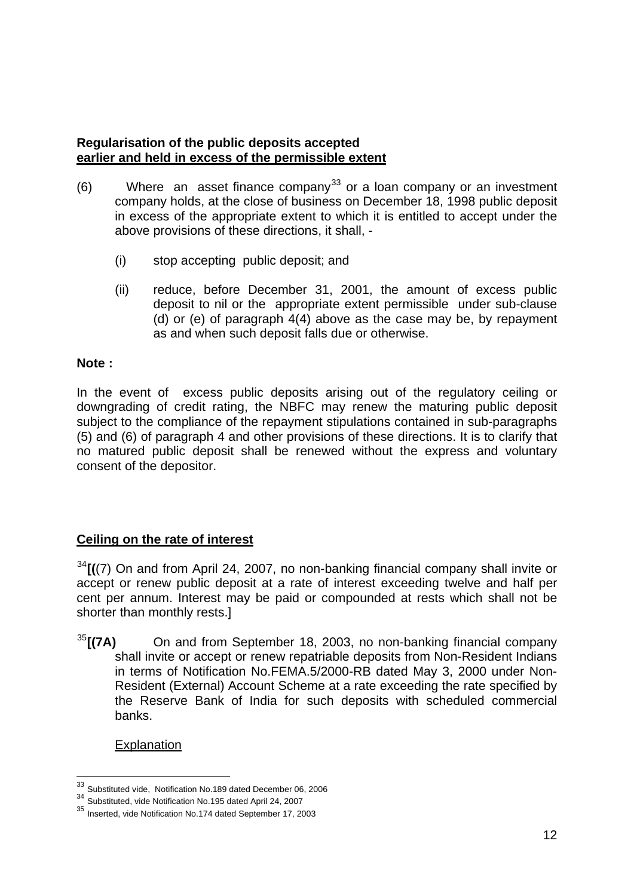### **Regularisation of the public deposits accepted earlier and held in excess of the permissible extent**

- $(6)$  Where an asset finance company<sup>[33](#page-11-0)</sup> or a loan company or an investment company holds, at the close of business on December 18, 1998 public deposit in excess of the appropriate extent to which it is entitled to accept under the above provisions of these directions, it shall, -
	- (i) stop accepting public deposit; and
	- (ii) reduce, before December 31, 2001, the amount of excess public deposit to nil or the appropriate extent permissible under sub-clause (d) or (e) of paragraph 4(4) above as the case may be, by repayment as and when such deposit falls due or otherwise.

### **Note :**

In the event of excess public deposits arising out of the regulatory ceiling or downgrading of credit rating, the NBFC may renew the maturing public deposit subject to the compliance of the repayment stipulations contained in sub-paragraphs (5) and (6) of paragraph 4 and other provisions of these directions. It is to clarify that no matured public deposit shall be renewed without the express and voluntary consent of the depositor.

## **Ceiling on the rate of interest**

[34](#page-11-1)**[(**(7) On and from April 24, 2007, no non-banking financial company shall invite or accept or renew public deposit at a rate of interest exceeding twelve and half per cent per annum. Interest may be paid or compounded at rests which shall not be shorter than monthly rests.]

[35](#page-11-2)**[(7A)** On and from September 18, 2003, no non-banking financial company shall invite or accept or renew repatriable deposits from Non-Resident Indians in terms of Notification No.FEMA.5/2000-RB dated May 3, 2000 under Non-Resident (External) Account Scheme at a rate exceeding the rate specified by the Reserve Bank of India for such deposits with scheduled commercial banks.

Explanation

<sup>33</sup> Substituted vide, Notification No.189 dated December 06, 2006

<span id="page-11-1"></span><span id="page-11-0"></span><sup>34&</sup>lt;br>35 Substituted, vide Notification No.195 dated April 24, 2007<br>35 Inserted, vide Notification No.174 dated September 17, 2003

<span id="page-11-2"></span>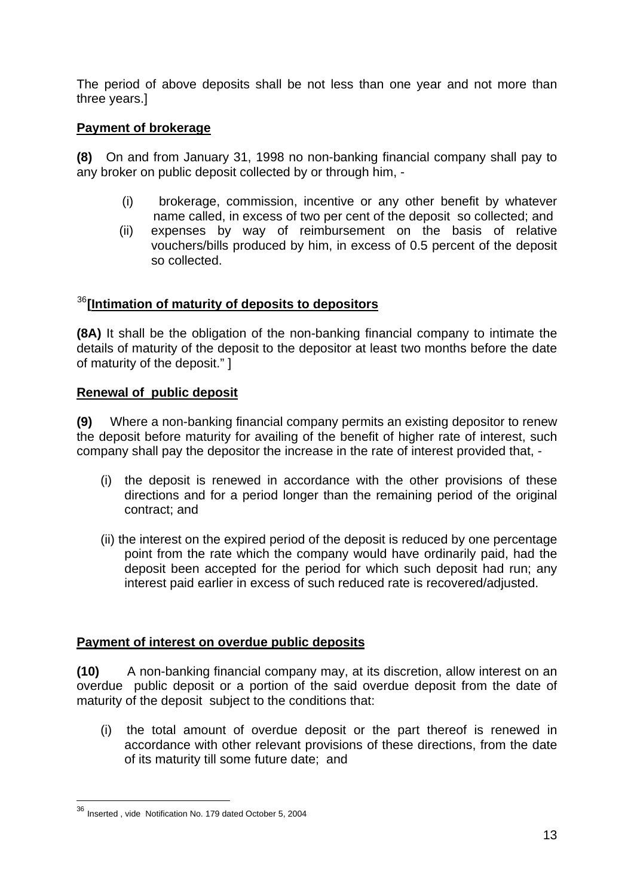The period of above deposits shall be not less than one year and not more than three years.]

## **Payment of brokerage**

**(8)** On and from January 31, 1998 no non-banking financial company shall pay to any broker on public deposit collected by or through him, -

- (i) brokerage, commission, incentive or any other benefit by whatever name called, in excess of two per cent of the deposit so collected; and
- (ii) expenses by way of reimbursement on the basis of relative vouchers/bills produced by him, in excess of 0.5 percent of the deposit so collected.

# [36](#page-12-0)**[Intimation of maturity of deposits to depositors**

**(8A)** It shall be the obligation of the non-banking financial company to intimate the details of maturity of the deposit to the depositor at least two months before the date of maturity of the deposit." ]

## **Renewal of public deposit**

**(9)** Where a non-banking financial company permits an existing depositor to renew the deposit before maturity for availing of the benefit of higher rate of interest, such company shall pay the depositor the increase in the rate of interest provided that, -

- (i)the deposit is renewed in accordance with the other provisions of these directions and for a period longer than the remaining period of the original contract; and
- (ii) the interest on the expired period of the deposit is reduced by one percentage point from the rate which the company would have ordinarily paid, had the deposit been accepted for the period for which such deposit had run; any interest paid earlier in excess of such reduced rate is recovered/adjusted.

## **Payment of interest on overdue public deposits**

**(10)** A non-banking financial company may, at its discretion, allow interest on an overdue public deposit or a portion of the said overdue deposit from the date of maturity of the deposit subject to the conditions that:

(i) the total amount of overdue deposit or the part thereof is renewed in accordance with other relevant provisions of these directions, from the date of its maturity till some future date; and

<span id="page-12-0"></span><sup>36</sup> Inserted , vide Notification No. 179 dated October 5, 2004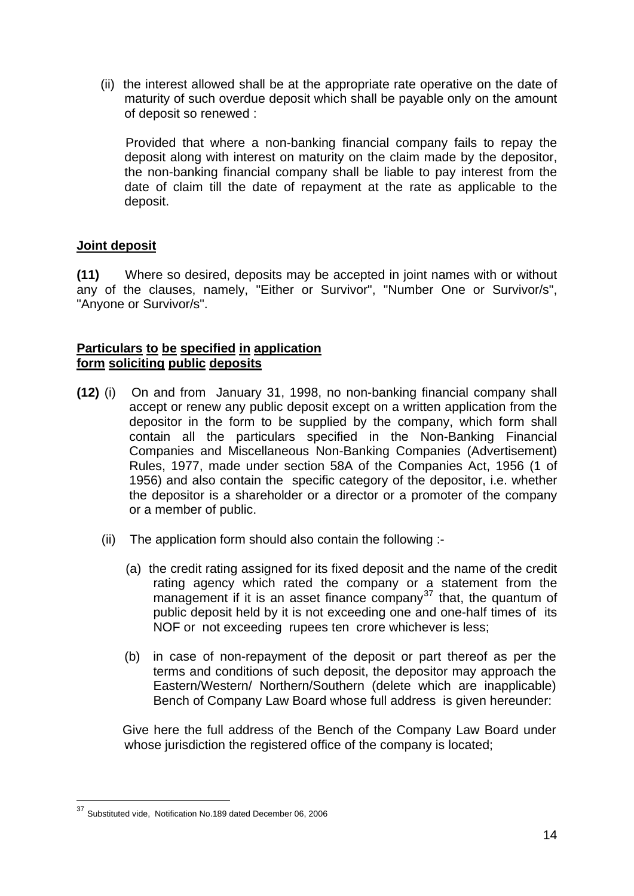(ii) the interest allowed shall be at the appropriate rate operative on the date of maturity of such overdue deposit which shall be payable only on the amount of deposit so renewed :

 Provided that where a non-banking financial company fails to repay the deposit along with interest on maturity on the claim made by the depositor, the non-banking financial company shall be liable to pay interest from the date of claim till the date of repayment at the rate as applicable to the deposit.

### **Joint deposit**

**(11)** Where so desired, deposits may be accepted in joint names with or without any of the clauses, namely, "Either or Survivor", "Number One or Survivor/s", "Anyone or Survivor/s".

### **Particulars to be specified in application form soliciting public deposits**

- **(12)** (i) On and from January 31, 1998, no non-banking financial company shall accept or renew any public deposit except on a written application from the depositor in the form to be supplied by the company, which form shall contain all the particulars specified in the Non-Banking Financial Companies and Miscellaneous Non-Banking Companies (Advertisement) Rules, 1977, made under section 58A of the Companies Act, 1956 (1 of 1956) and also contain the specific category of the depositor, i.e. whether the depositor is a shareholder or a director or a promoter of the company or a member of public.
	- (ii) The application form should also contain the following :-
		- (a) the credit rating assigned for its fixed deposit and the name of the credit rating agency which rated the company or a statement from the management if it is an asset finance company<sup>[37](#page-13-0)</sup> that, the quantum of public deposit held by it is not exceeding one and one-half times of its NOF or not exceeding rupees ten crore whichever is less;
		- (b) in case of non-repayment of the deposit or part thereof as per the terms and conditions of such deposit, the depositor may approach the Eastern/Western/ Northern/Southern (delete which are inapplicable) Bench of Company Law Board whose full address is given hereunder:

Give here the full address of the Bench of the Company Law Board under whose jurisdiction the registered office of the company is located;

<span id="page-13-0"></span><sup>&</sup>lt;sup>37</sup> Substituted vide, Notification No.189 dated December 06, 2006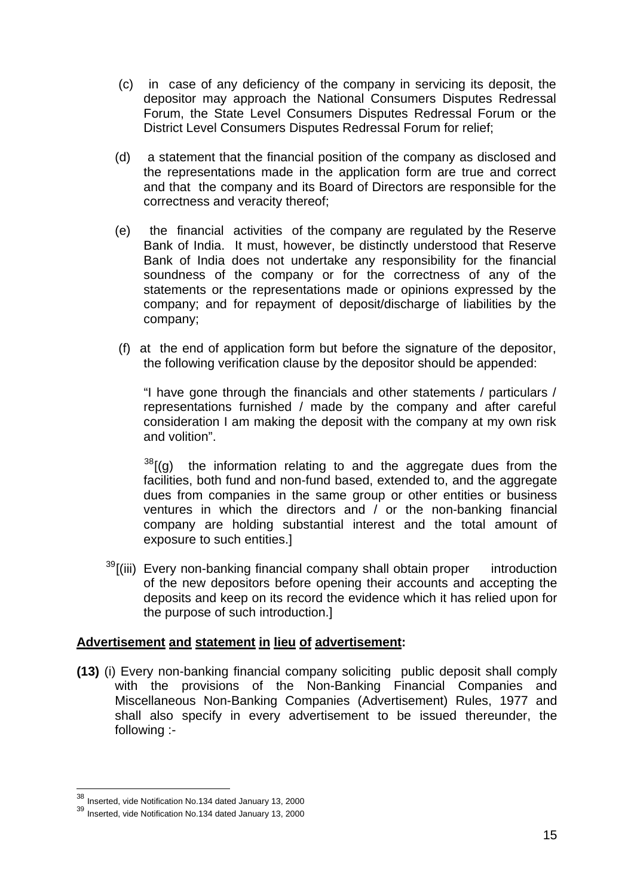- (c) in case of any deficiency of the company in servicing its deposit, the depositor may approach the National Consumers Disputes Redressal Forum, the State Level Consumers Disputes Redressal Forum or the District Level Consumers Disputes Redressal Forum for relief;
- (d) a statement that the financial position of the company as disclosed and the representations made in the application form are true and correct and that the company and its Board of Directors are responsible for the correctness and veracity thereof;
- (e) the financial activities of the company are regulated by the Reserve Bank of India. It must, however, be distinctly understood that Reserve Bank of India does not undertake any responsibility for the financial soundness of the company or for the correctness of any of the statements or the representations made or opinions expressed by the company; and for repayment of deposit/discharge of liabilities by the company;
- (f) at the end of application form but before the signature of the depositor, the following verification clause by the depositor should be appended:

 "I have gone through the financials and other statements / particulars / representations furnished / made by the company and after careful consideration I am making the deposit with the company at my own risk and volition".

 $38$ [(g) the information relating to and the aggregate dues from the facilities, both fund and non-fund based, extended to, and the aggregate dues from companies in the same group or other entities or business ventures in which the directors and / or the non-banking financial company are holding substantial interest and the total amount of exposure to such entities.]

 $39$ [(iii) Every non-banking financial company shall obtain proper introduction of the new depositors before opening their accounts and accepting the deposits and keep on its record the evidence which it has relied upon for the purpose of such introduction.]

### **Advertisement and statement in lieu of advertisement:**

**(13)** (i) Every non-banking financial company soliciting public deposit shall comply with the provisions of the Non-Banking Financial Companies and Miscellaneous Non-Banking Companies (Advertisement) Rules, 1977 and shall also specify in every advertisement to be issued thereunder, the following :-

<sup>&</sup>lt;sup>38</sup> Inserted, vide Notification No.134 dated January 13, 2000

<span id="page-14-1"></span><span id="page-14-0"></span><sup>39</sup> Inserted, vide Notification No.134 dated January 13, 2000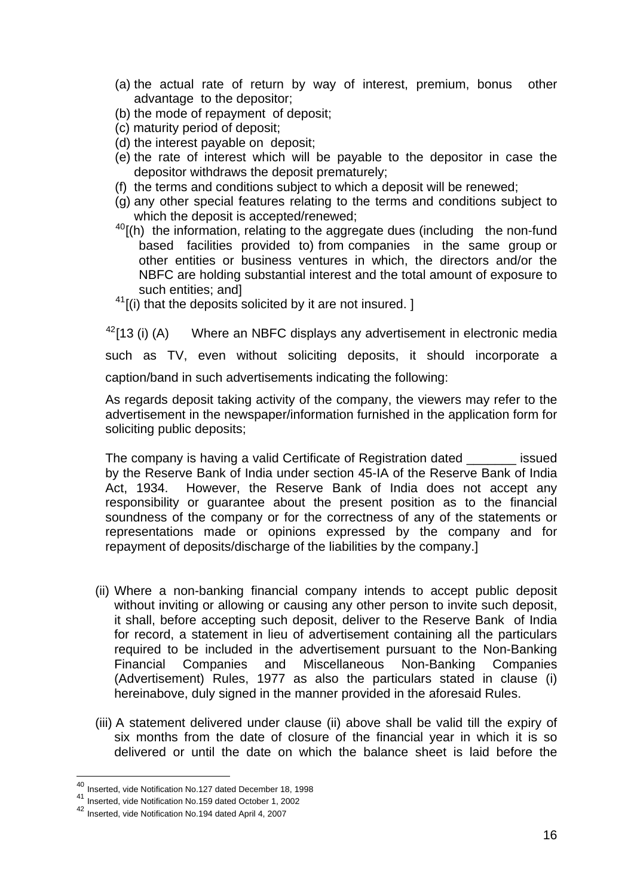- (a) the actual rate of return by way of interest, premium, bonus other advantage to the depositor;
- (b) the mode of repayment of deposit;
- (c) maturity period of deposit;
- (d) the interest payable on deposit;
- (e) the rate of interest which will be payable to the depositor in case the depositor withdraws the deposit prematurely;
- (f) the terms and conditions subject to which a deposit will be renewed;
- (g) any other special features relating to the terms and conditions subject to which the deposit is accepted/renewed;
- $40$ [(h) the information, relating to the aggregate dues (including the non-fund based facilities provided to) from companies in the same group or other entities or business ventures in which, the directors and/or the NBFC are holding substantial interest and the total amount of exposure to such entities; and]
- $41$ [(i) that the deposits solicited by it are not insured. ]

 $42$ [13 (i) (A) Where an NBFC displays any advertisement in electronic media such as TV, even without soliciting deposits, it should incorporate a caption/band in such advertisements indicating the following:

As regards deposit taking activity of the company, the viewers may refer to the advertisement in the newspaper/information furnished in the application form for soliciting public deposits;

The company is having a valid Certificate of Registration dated \_\_\_\_\_\_\_ issued by the Reserve Bank of India under section 45-IA of the Reserve Bank of India Act, 1934. However, the Reserve Bank of India does not accept any responsibility or guarantee about the present position as to the financial soundness of the company or for the correctness of any of the statements or representations made or opinions expressed by the company and for repayment of deposits/discharge of the liabilities by the company.]

- (ii) Where a non-banking financial company intends to accept public deposit without inviting or allowing or causing any other person to invite such deposit, it shall, before accepting such deposit, deliver to the Reserve Bank of India for record, a statement in lieu of advertisement containing all the particulars required to be included in the advertisement pursuant to the Non-Banking Financial Companies and Miscellaneous Non-Banking Companies (Advertisement) Rules, 1977 as also the particulars stated in clause (i) hereinabove, duly signed in the manner provided in the aforesaid Rules.
- (iii) A statement delivered under clause (ii) above shall be valid till the expiry of six months from the date of closure of the financial year in which it is so delivered or until the date on which the balance sheet is laid before the

<sup>&</sup>lt;sup>40</sup> Inserted, vide Notification No.127 dated December 18, 1998

<span id="page-15-1"></span><span id="page-15-0"></span><sup>41</sup> Inserted, vide Notification No.159 dated October 1, 2002

<span id="page-15-2"></span><sup>42</sup> Inserted, vide Notification No.194 dated April 4, 2007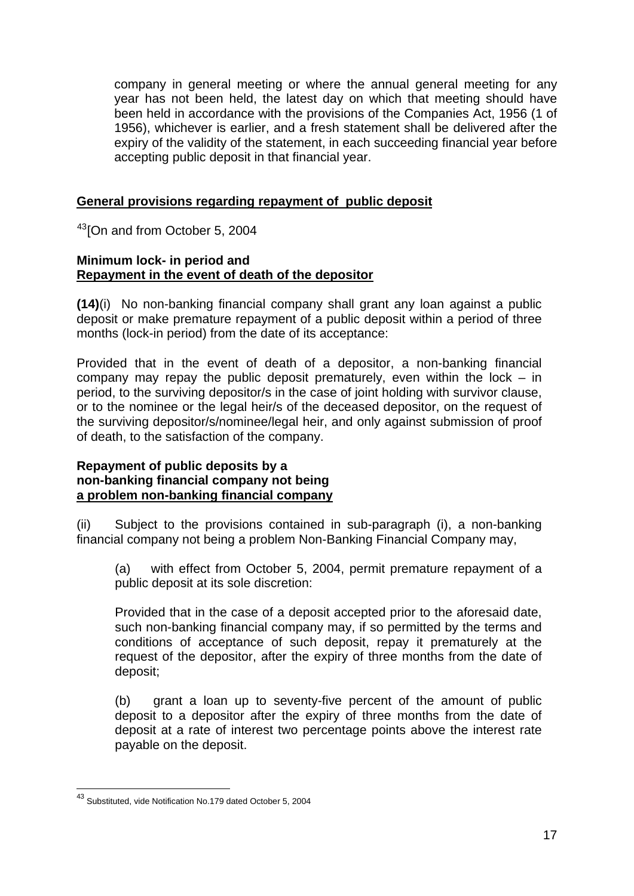company in general meeting or where the annual general meeting for any year has not been held, the latest day on which that meeting should have been held in accordance with the provisions of the Companies Act, 1956 (1 of 1956), whichever is earlier, and a fresh statement shall be delivered after the expiry of the validity of the statement, in each succeeding financial year before accepting public deposit in that financial year.

### **General provisions regarding repayment of public deposit**

<sup>[43](#page-16-0)</sup>[On and from October 5, 2004]

#### **Minimum lock- in period and Repayment in the event of death of the depositor**

**(14)**(i) No non-banking financial company shall grant any loan against a public deposit or make premature repayment of a public deposit within a period of three months (lock-in period) from the date of its acceptance:

Provided that in the event of death of a depositor, a non-banking financial company may repay the public deposit prematurely, even within the lock  $-$  in period, to the surviving depositor/s in the case of joint holding with survivor clause, or to the nominee or the legal heir/s of the deceased depositor, on the request of the surviving depositor/s/nominee/legal heir, and only against submission of proof of death, to the satisfaction of the company.

#### **Repayment of public deposits by a non-banking financial company not being a problem non-banking financial company**

(ii) Subject to the provisions contained in sub-paragraph (i), a non-banking financial company not being a problem Non-Banking Financial Company may,

(a) with effect from October 5, 2004, permit premature repayment of a public deposit at its sole discretion:

Provided that in the case of a deposit accepted prior to the aforesaid date, such non-banking financial company may, if so permitted by the terms and conditions of acceptance of such deposit, repay it prematurely at the request of the depositor, after the expiry of three months from the date of deposit;

(b) grant a loan up to seventy-five percent of the amount of public deposit to a depositor after the expiry of three months from the date of deposit at a rate of interest two percentage points above the interest rate payable on the deposit.

<span id="page-16-0"></span><sup>&</sup>lt;sup>43</sup> Substituted, vide Notification No.179 dated October 5, 2004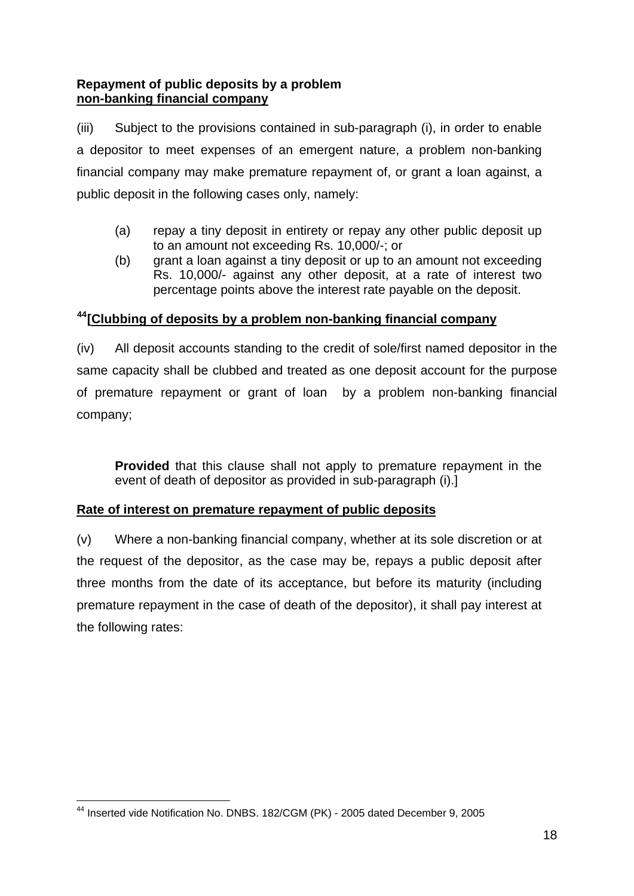### **Repayment of public deposits by a problem non-banking financial company**

(iii) Subject to the provisions contained in sub-paragraph (i), in order to enable a depositor to meet expenses of an emergent nature, a problem non-banking financial company may make premature repayment of, or grant a loan against, a public deposit in the following cases only, namely:

- (a) repay a tiny deposit in entirety or repay any other public deposit up to an amount not exceeding Rs. 10,000/-; or
- (b) grant a loan against a tiny deposit or up to an amount not exceeding Rs. 10,000/- against any other deposit, at a rate of interest two percentage points above the interest rate payable on the deposit.

## **[44](#page-17-0)[Clubbing of deposits by a problem non-banking financial company**

(iv) All deposit accounts standing to the credit of sole/first named depositor in the same capacity shall be clubbed and treated as one deposit account for the purpose of premature repayment or grant of loan by a problem non-banking financial company;

**Provided** that this clause shall not apply to premature repayment in the event of death of depositor as provided in sub-paragraph (i).]

## **Rate of interest on premature repayment of public deposits**

(v) Where a non-banking financial company, whether at its sole discretion or at the request of the depositor, as the case may be, repays a public deposit after three months from the date of its acceptance, but before its maturity (including premature repayment in the case of death of the depositor), it shall pay interest at the following rates:

<span id="page-17-0"></span><sup>1</sup> <sup>44</sup> Inserted vide Notification No. DNBS. 182/CGM (PK) - 2005 dated December 9, 2005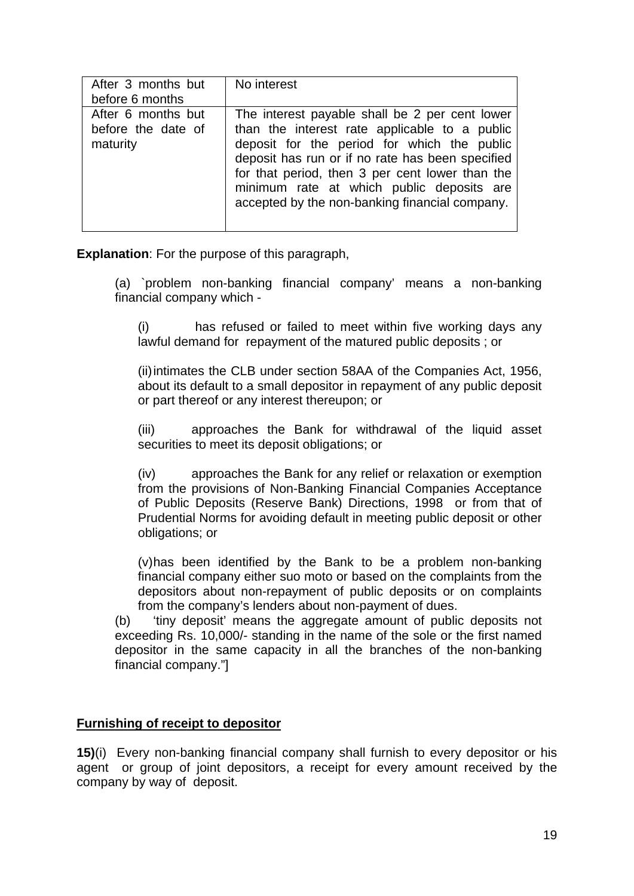| After 3 months but<br>before 6 months                | No interest                                                                                                                                                                                                                                                                                                                                          |
|------------------------------------------------------|------------------------------------------------------------------------------------------------------------------------------------------------------------------------------------------------------------------------------------------------------------------------------------------------------------------------------------------------------|
| After 6 months but<br>before the date of<br>maturity | The interest payable shall be 2 per cent lower<br>than the interest rate applicable to a public<br>deposit for the period for which the public<br>deposit has run or if no rate has been specified<br>for that period, then 3 per cent lower than the<br>minimum rate at which public deposits are<br>accepted by the non-banking financial company. |

**Explanation**: For the purpose of this paragraph,

(a) `problem non-banking financial company' means a non-banking financial company which -

(i) has refused or failed to meet within five working days any lawful demand for repayment of the matured public deposits ; or

(ii) intimates the CLB under section 58AA of the Companies Act, 1956, about its default to a small depositor in repayment of any public deposit or part thereof or any interest thereupon; or

(iii) approaches the Bank for withdrawal of the liquid asset securities to meet its deposit obligations; or

(iv) approaches the Bank for any relief or relaxation or exemption from the provisions of Non-Banking Financial Companies Acceptance of Public Deposits (Reserve Bank) Directions, 1998 or from that of Prudential Norms for avoiding default in meeting public deposit or other obligations; or

(v) has been identified by the Bank to be a problem non-banking financial company either suo moto or based on the complaints from the depositors about non-repayment of public deposits or on complaints from the company's lenders about non-payment of dues.

(b) 'tiny deposit' means the aggregate amount of public deposits not exceeding Rs. 10,000/- standing in the name of the sole or the first named depositor in the same capacity in all the branches of the non-banking financial company."]

## **Furnishing of receipt to depositor**

**15)**(i) Every non-banking financial company shall furnish to every depositor or his agent or group of joint depositors, a receipt for every amount received by the company by way of deposit.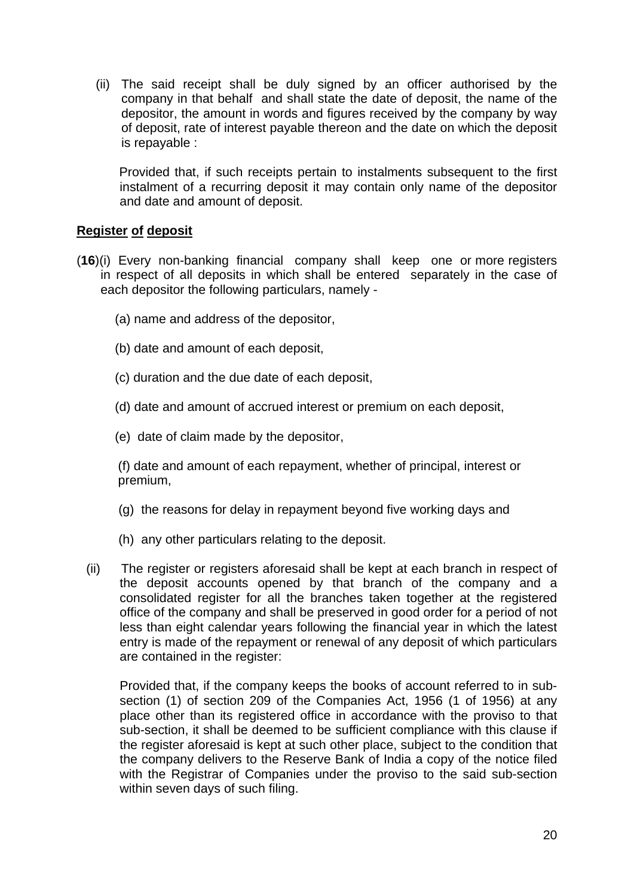(ii) The said receipt shall be duly signed by an officer authorised by the company in that behalf and shall state the date of deposit, the name of the depositor, the amount in words and figures received by the company by way of deposit, rate of interest payable thereon and the date on which the deposit is repayable :

 Provided that, if such receipts pertain to instalments subsequent to the first instalment of a recurring deposit it may contain only name of the depositor and date and amount of deposit.

## **Register of deposit**

- (**16**)(i) Every non-banking financial company shall keep one or more registers in respect of all deposits in which shall be entered separately in the case of each depositor the following particulars, namely -
	- (a) name and address of the depositor,
	- (b) date and amount of each deposit,
	- (c) duration and the due date of each deposit,
	- (d) date and amount of accrued interest or premium on each deposit,
	- (e) date of claim made by the depositor,

(f) date and amount of each repayment, whether of principal, interest or premium,

- (g) the reasons for delay in repayment beyond five working days and
- (h) any other particulars relating to the deposit.
- (ii) The register or registers aforesaid shall be kept at each branch in respect of the deposit accounts opened by that branch of the company and a consolidated register for all the branches taken together at the registered office of the company and shall be preserved in good order for a period of not less than eight calendar years following the financial year in which the latest entry is made of the repayment or renewal of any deposit of which particulars are contained in the register:

 Provided that, if the company keeps the books of account referred to in subsection (1) of section 209 of the Companies Act, 1956 (1 of 1956) at any place other than its registered office in accordance with the proviso to that sub-section, it shall be deemed to be sufficient compliance with this clause if the register aforesaid is kept at such other place, subject to the condition that the company delivers to the Reserve Bank of India a copy of the notice filed with the Registrar of Companies under the proviso to the said sub-section within seven days of such filing.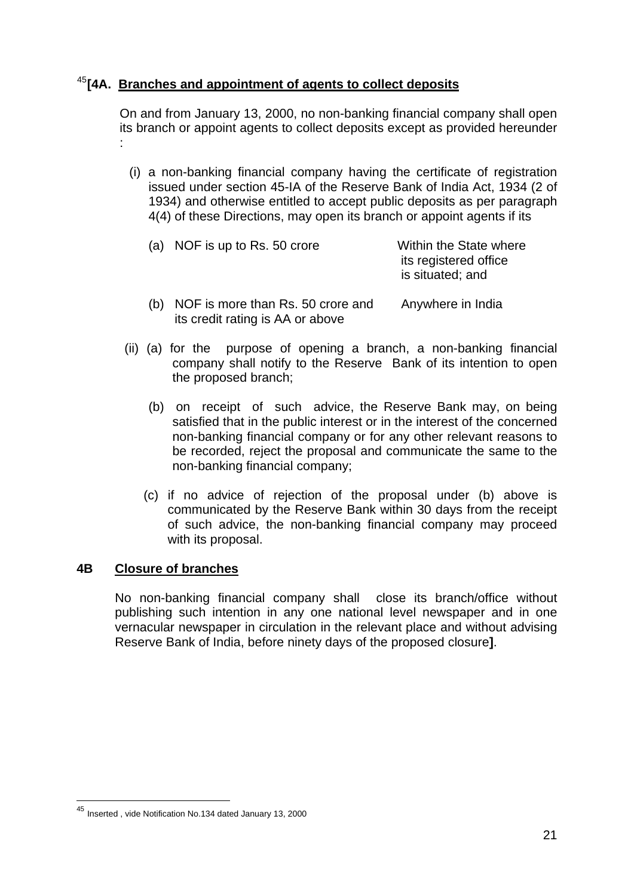## [45](#page-20-0)**[4A. Branches and appointment of agents to collect deposits**

its credit rating is AA or above

On and from January 13, 2000, no non-banking financial company shall open its branch or appoint agents to collect deposits except as provided hereunder :

(i) a non-banking financial company having the certificate of registration issued under section 45-IA of the Reserve Bank of India Act, 1934 (2 of 1934) and otherwise entitled to accept public deposits as per paragraph 4(4) of these Directions, may open its branch or appoint agents if its

|     | (a) NOF is up to Rs. 50 crore     | Within the State where<br>its registered office<br>is situated; and |
|-----|-----------------------------------|---------------------------------------------------------------------|
| (b) | NOF is more than Rs. 50 crore and | Anywhere in India                                                   |

- (ii) (a) for the purpose of opening a branch, a non-banking financial company shall notify to the Reserve Bank of its intention to open the proposed branch;
	- (b) on receipt of such advice, the Reserve Bank may, on being satisfied that in the public interest or in the interest of the concerned non-banking financial company or for any other relevant reasons to be recorded, reject the proposal and communicate the same to the non-banking financial company;
	- (c) if no advice of rejection of the proposal under (b) above is communicated by the Reserve Bank within 30 days from the receipt of such advice, the non-banking financial company may proceed with its proposal.

## **4B Closure of branches**

 No non-banking financial company shall close its branch/office without publishing such intention in any one national level newspaper and in one vernacular newspaper in circulation in the relevant place and without advising Reserve Bank of India, before ninety days of the proposed closure**]**.

<span id="page-20-0"></span><sup>&</sup>lt;sup>45</sup> Inserted, vide Notification No.134 dated January 13, 2000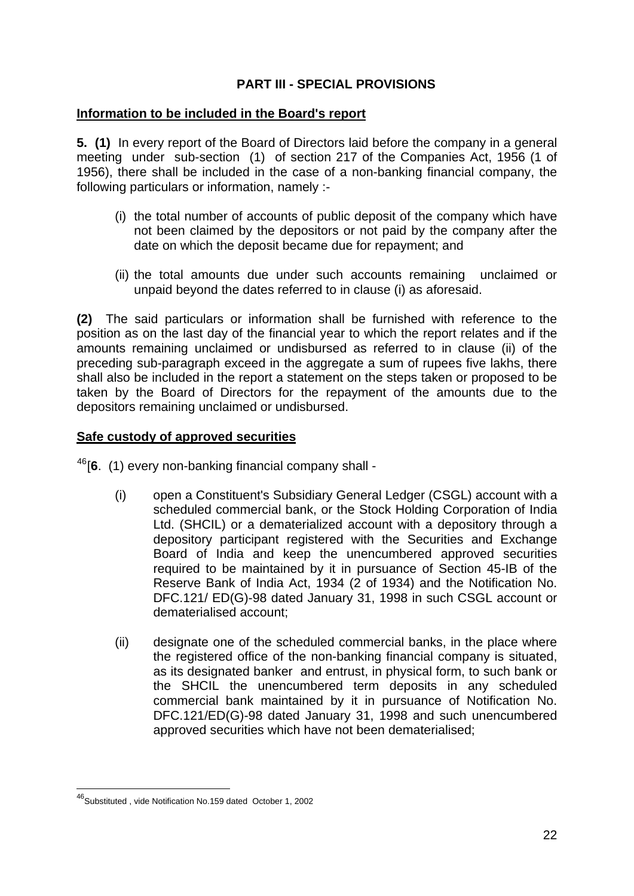## **PART III - SPECIAL PROVISIONS**

### **Information to be included in the Board's report**

**5. (1)** In every report of the Board of Directors laid before the company in a general meeting under sub-section (1) of section 217 of the Companies Act, 1956 (1 of 1956), there shall be included in the case of a non-banking financial company, the following particulars or information, namely :-

- (i) the total number of accounts of public deposit of the company which have not been claimed by the depositors or not paid by the company after the date on which the deposit became due for repayment; and
- (ii) the total amounts due under such accounts remaining unclaimed or unpaid beyond the dates referred to in clause (i) as aforesaid.

**(2)** The said particulars or information shall be furnished with reference to the position as on the last day of the financial year to which the report relates and if the amounts remaining unclaimed or undisbursed as referred to in clause (ii) of the preceding sub-paragraph exceed in the aggregate a sum of rupees five lakhs, there shall also be included in the report a statement on the steps taken or proposed to be taken by the Board of Directors for the repayment of the amounts due to the depositors remaining unclaimed or undisbursed.

### **Safe custody of approved securities**

[46](#page-21-0)[**6**. (1) every non-banking financial company shall -

- (i) open a Constituent's Subsidiary General Ledger (CSGL) account with a scheduled commercial bank, or the Stock Holding Corporation of India Ltd. (SHCIL) or a dematerialized account with a depository through a depository participant registered with the Securities and Exchange Board of India and keep the unencumbered approved securities required to be maintained by it in pursuance of Section 45-IB of the Reserve Bank of India Act, 1934 (2 of 1934) and the Notification No. DFC.121/ ED(G)-98 dated January 31, 1998 in such CSGL account or dematerialised account;
- (ii) designate one of the scheduled commercial banks, in the place where the registered office of the non-banking financial company is situated, as its designated banker and entrust, in physical form, to such bank or the SHCIL the unencumbered term deposits in any scheduled commercial bank maintained by it in pursuance of Notification No. DFC.121/ED(G)-98 dated January 31, 1998 and such unencumbered approved securities which have not been dematerialised;

<span id="page-21-0"></span><sup>46</sup>Substituted , vide Notification No.159 dated October 1, 2002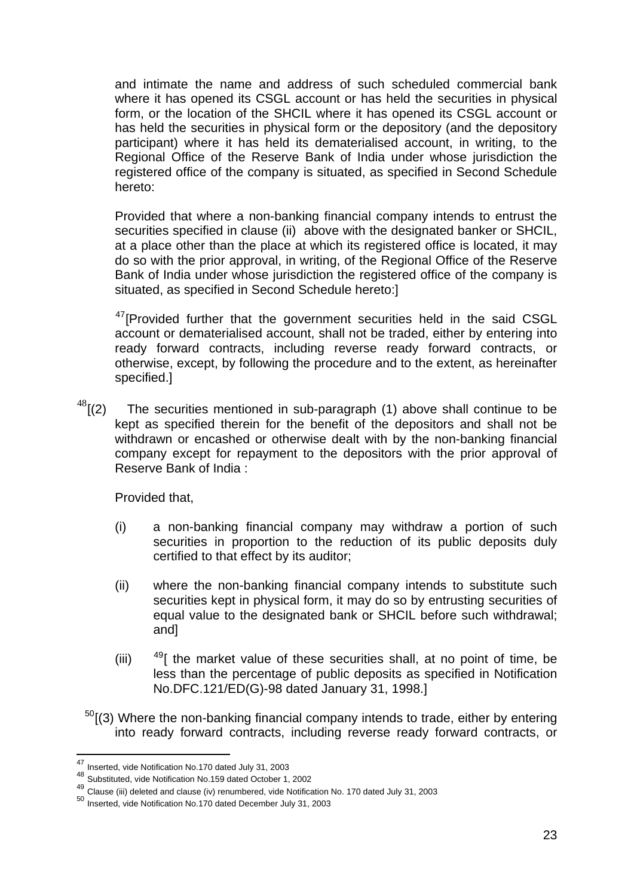and intimate the name and address of such scheduled commercial bank where it has opened its CSGL account or has held the securities in physical form, or the location of the SHCIL where it has opened its CSGL account or has held the securities in physical form or the depository (and the depository participant) where it has held its dematerialised account, in writing, to the Regional Office of the Reserve Bank of India under whose jurisdiction the registered office of the company is situated, as specified in Second Schedule hereto:

Provided that where a non-banking financial company intends to entrust the securities specified in clause (ii) above with the designated banker or SHCIL, at a place other than the place at which its registered office is located, it may do so with the prior approval, in writing, of the Regional Office of the Reserve Bank of India under whose jurisdiction the registered office of the company is situated, as specified in Second Schedule hereto:]

<sup>[47](#page-22-0)</sup> [Provided further that the government securities held in the said CSGL account or dematerialised account, shall not be traded, either by entering into ready forward contracts, including reverse ready forward contracts, or otherwise, except, by following the procedure and to the extent, as hereinafter specified.]

 $48$ [(2) The securities mentioned in sub-paragraph (1) above shall continue to be kept as specified therein for the benefit of the depositors and shall not be withdrawn or encashed or otherwise dealt with by the non-banking financial company except for repayment to the depositors with the prior approval of Reserve Bank of India :

Provided that,

- (i) a non-banking financial company may withdraw a portion of such securities in proportion to the reduction of its public deposits duly certified to that effect by its auditor;
- (ii) where the non-banking financial company intends to substitute such securities kept in physical form, it may do so by entrusting securities of equal value to the designated bank or SHCIL before such withdrawal; and]
- (iii)  $49$ [ the market value of these securities shall, at no point of time, be less than the percentage of public deposits as specified in Notification No.DFC.121/ED(G)-98 dated January 31, 1998.]
- $50$ [(3) Where the non-banking financial company intends to trade, either by entering into ready forward contracts, including reverse ready forward contracts, or

<span id="page-22-0"></span><sup>47</sup> Inserted, vide Notification No.170 dated July 31, 2003

<span id="page-22-1"></span><sup>48</sup> Substituted, vide Notification No.159 dated October 1, 2002

<span id="page-22-2"></span><sup>49</sup> Clause (iii) deleted and clause (iv) renumbered, vide Notification No. 170 dated July 31, 2003

<span id="page-22-3"></span><sup>50</sup> Inserted, vide Notification No.170 dated December July 31, 2003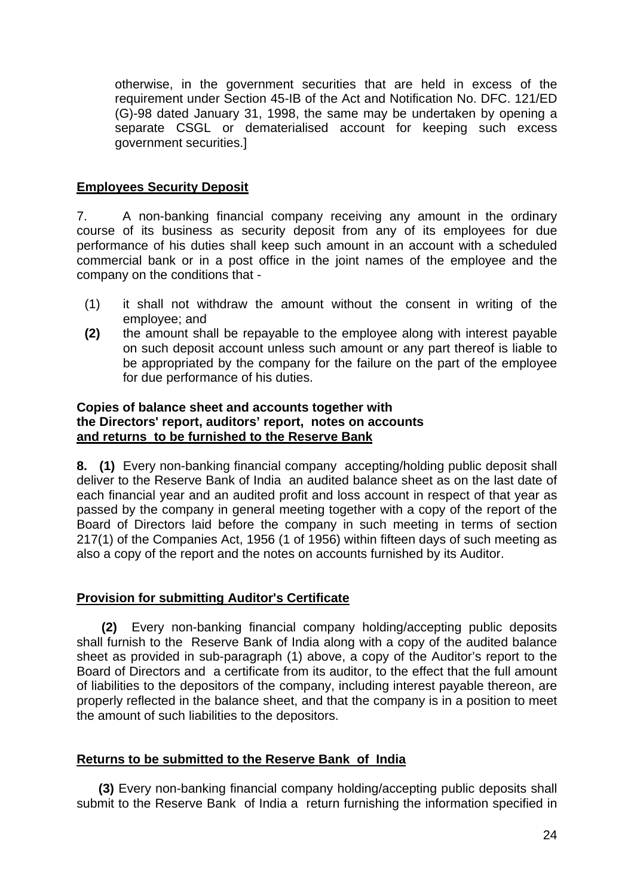otherwise, in the government securities that are held in excess of the requirement under Section 45-IB of the Act and Notification No. DFC. 121/ED (G)-98 dated January 31, 1998, the same may be undertaken by opening a separate CSGL or dematerialised account for keeping such excess government securities.]

### **Employees Security Deposit**

7. A non-banking financial company receiving any amount in the ordinary course of its business as security deposit from any of its employees for due performance of his duties shall keep such amount in an account with a scheduled commercial bank or in a post office in the joint names of the employee and the company on the conditions that -

- (1) it shall not withdraw the amount without the consent in writing of the employee; and
- **(2)** the amount shall be repayable to the employee along with interest payable on such deposit account unless such amount or any part thereof is liable to be appropriated by the company for the failure on the part of the employee for due performance of his duties.

### **Copies of balance sheet and accounts together with the Directors' report, auditors' report, notes on accounts and returns to be furnished to the Reserve Bank**

**8. (1)** Every non-banking financial company accepting/holding public deposit shall deliver to the Reserve Bank of India an audited balance sheet as on the last date of each financial year and an audited profit and loss account in respect of that year as passed by the company in general meeting together with a copy of the report of the Board of Directors laid before the company in such meeting in terms of section 217(1) of the Companies Act, 1956 (1 of 1956) within fifteen days of such meeting as also a copy of the report and the notes on accounts furnished by its Auditor.

### **Provision for submitting Auditor's Certificate**

 **(2)** Every non-banking financial company holding/accepting public deposits shall furnish to the Reserve Bank of India along with a copy of the audited balance sheet as provided in sub-paragraph (1) above, a copy of the Auditor's report to the Board of Directors and a certificate from its auditor, to the effect that the full amount of liabilities to the depositors of the company, including interest payable thereon, are properly reflected in the balance sheet, and that the company is in a position to meet the amount of such liabilities to the depositors.

## **Returns to be submitted to the Reserve Bank of India**

 **(3)** Every non-banking financial company holding/accepting public deposits shall submit to the Reserve Bank of India a return furnishing the information specified in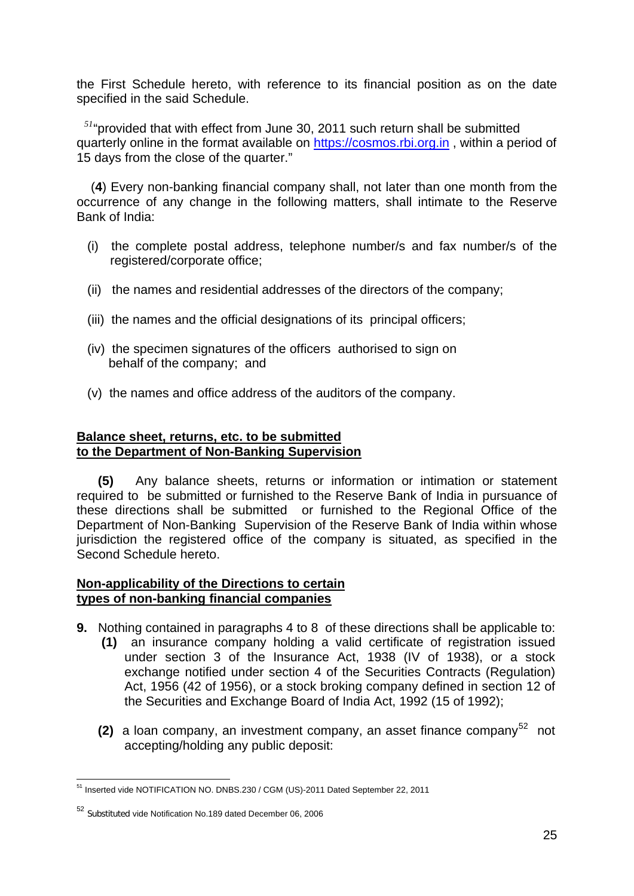the First Schedule hereto, with reference to its financial position as on the date specified in the said Schedule.

 *[51](#page-24-0)*"provided that with effect from June 30, 2011 such return shall be submitted quarterly online in the format available on [https://cosmos.rbi.org.in](https://cosmos.rbi.org.in/) , within a period of 15 days from the close of the quarter."

 (**4**) Every non-banking financial company shall, not later than one month from the occurrence of any change in the following matters, shall intimate to the Reserve Bank of India:

- (i) the complete postal address, telephone number/s and fax number/s of the registered/corporate office;
- (ii) the names and residential addresses of the directors of the company;
- (iii) the names and the official designations of its principal officers;
- (iv) the specimen signatures of the officers authorised to sign on behalf of the company; and
- (v) the names and office address of the auditors of the company.

#### **Balance sheet, returns, etc. to be submitted to the Department of Non-Banking Supervision**

 **(5)** Any balance sheets, returns or information or intimation or statement required to be submitted or furnished to the Reserve Bank of India in pursuance of these directions shall be submitted or furnished to the Regional Office of the Department of Non-Banking Supervision of the Reserve Bank of India within whose jurisdiction the registered office of the company is situated, as specified in the Second Schedule hereto.

### **Non-applicability of the Directions to certain types of non-banking financial companies**

- **9.** Nothing contained in paragraphs 4 to 8 of these directions shall be applicable to:
	- **(1)** an insurance company holding a valid certificate of registration issued under section 3 of the Insurance Act, 1938 (IV of 1938), or a stock exchange notified under section 4 of the Securities Contracts (Regulation) Act, 1956 (42 of 1956), or a stock broking company defined in section 12 of the Securities and Exchange Board of India Act, 1992 (15 of 1992);
	- **(2)** a loan company, an investment company, an asset finance company<sup>[52](#page-24-1)</sup> not accepting/holding any public deposit:

<span id="page-24-0"></span><sup>1</sup> <sup>51</sup> Inserted vide NOTIFICATION NO. DNBS.230 / CGM (US)-2011 Dated September 22, 2011

<span id="page-24-1"></span><sup>52</sup> Substituted vide Notification No.189 dated December 06, 2006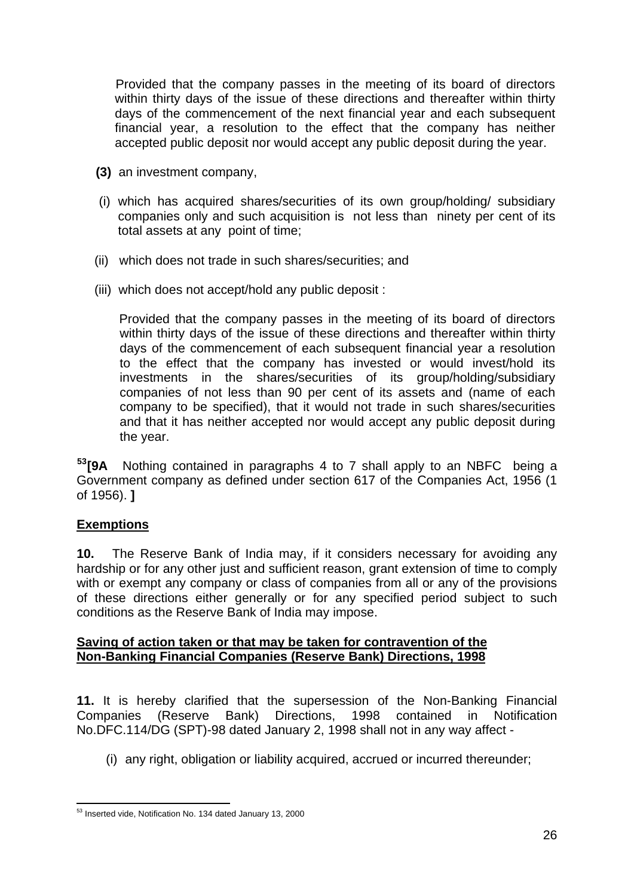Provided that the company passes in the meeting of its board of directors within thirty days of the issue of these directions and thereafter within thirty days of the commencement of the next financial year and each subsequent financial year, a resolution to the effect that the company has neither accepted public deposit nor would accept any public deposit during the year.

- **(3)** an investment company,
- (i) which has acquired shares/securities of its own group/holding/ subsidiary companies only and such acquisition is not less than ninety per cent of its total assets at any point of time;
- (ii) which does not trade in such shares/securities; and
- (iii) which does not accept/hold any public deposit :

 Provided that the company passes in the meeting of its board of directors within thirty days of the issue of these directions and thereafter within thirty days of the commencement of each subsequent financial year a resolution to the effect that the company has invested or would invest/hold its investments in the shares/securities of its group/holding/subsidiary companies of not less than 90 per cent of its assets and (name of each company to be specified), that it would not trade in such shares/securities and that it has neither accepted nor would accept any public deposit during the year.

**[53](#page-25-0)[9A** Nothing contained in paragraphs 4 to 7 shall apply to an NBFC being a Government company as defined under section 617 of the Companies Act, 1956 (1 of 1956). **]**

## **Exemptions**

**10.** The Reserve Bank of India may, if it considers necessary for avoiding any hardship or for any other just and sufficient reason, grant extension of time to comply with or exempt any company or class of companies from all or any of the provisions of these directions either generally or for any specified period subject to such conditions as the Reserve Bank of India may impose.

### **Saving of action taken or that may be taken for contravention of the Non-Banking Financial Companies (Reserve Bank) Directions, 1998**

**11.** It is hereby clarified that the supersession of the Non-Banking Financial Companies (Reserve Bank) Directions, 1998 contained in Notification No.DFC.114/DG (SPT)-98 dated January 2, 1998 shall not in any way affect -

(i) any right, obligation or liability acquired, accrued or incurred thereunder;

<span id="page-25-0"></span><sup>1</sup> <sup>53</sup> Inserted vide, Notification No. 134 dated January 13, 2000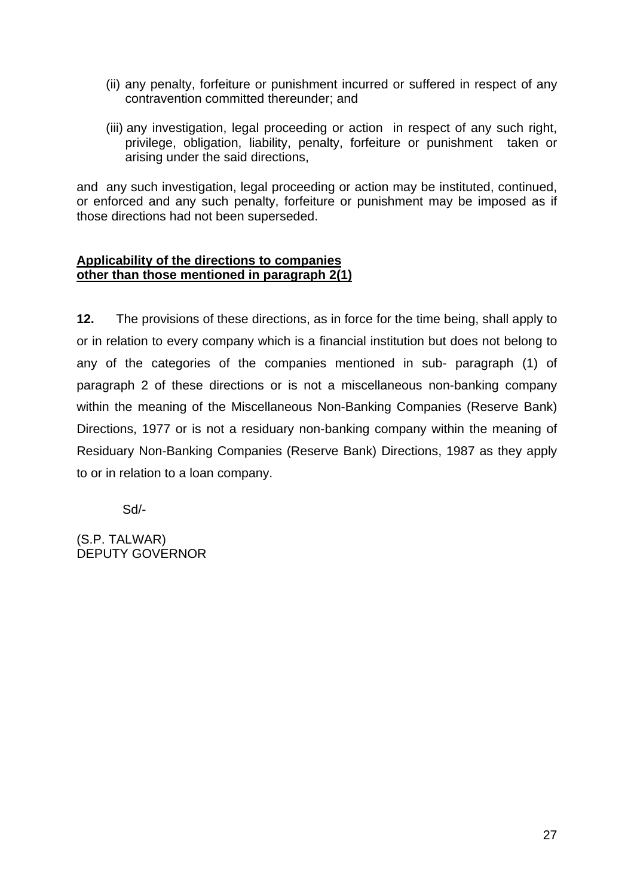- (ii) any penalty, forfeiture or punishment incurred or suffered in respect of any contravention committed thereunder; and
- (iii) any investigation, legal proceeding or action in respect of any such right, privilege, obligation, liability, penalty, forfeiture or punishment taken or arising under the said directions,

and any such investigation, legal proceeding or action may be instituted, continued, or enforced and any such penalty, forfeiture or punishment may be imposed as if those directions had not been superseded.

### **Applicability of the directions to companies other than those mentioned in paragraph 2(1)**

**12.** The provisions of these directions, as in force for the time being, shall apply to or in relation to every company which is a financial institution but does not belong to any of the categories of the companies mentioned in sub- paragraph (1) of paragraph 2 of these directions or is not a miscellaneous non-banking company within the meaning of the Miscellaneous Non-Banking Companies (Reserve Bank) Directions, 1977 or is not a residuary non-banking company within the meaning of Residuary Non-Banking Companies (Reserve Bank) Directions, 1987 as they apply to or in relation to a loan company.

Sd/-

(S.P. TALWAR) DEPUTY GOVERNOR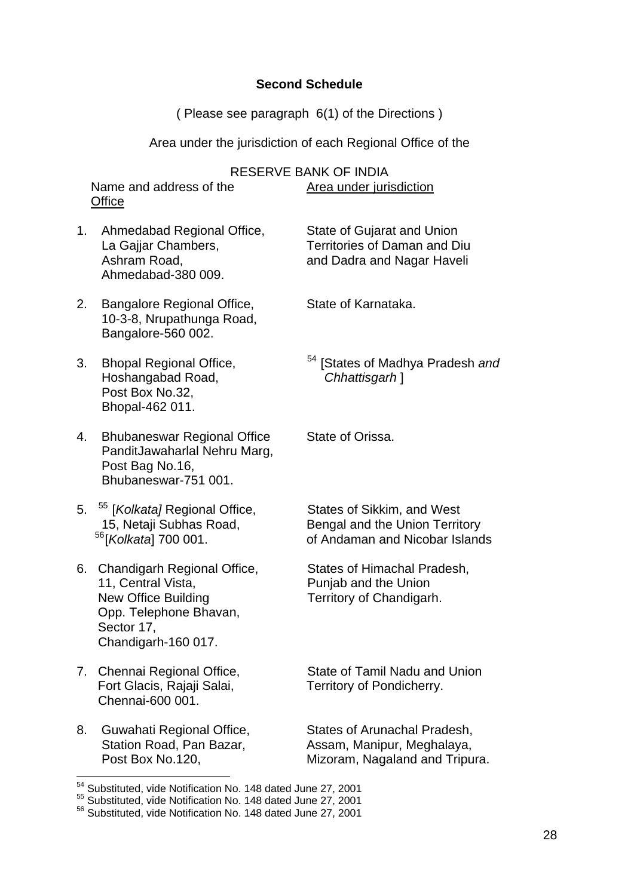### **Second Schedule**

( Please see paragraph 6(1) of the Directions )

Area under the jurisdiction of each Regional Office of the

RESERVE BANK OF INDIA Name and address of the Area under jurisdiction **Office** 

1. Ahmedabad Regional Office, State of Gujarat and Union La Gajjar Chambers, Territories of Daman and Diu Ashram Road, and Dadra and Nagar Haveli Ahmedabad-380 009.

- 2. Bangalore Regional Office, State of Karnataka. 10-3-8, Nrupathunga Road, Bangalore-560 002.
- Hoshangabad Road, *Chhattisgarh* ] Post Box No.32, Bhopal-462 011.
- 4. Bhubaneswar Regional Office State of Orissa. PanditJawaharlal Nehru Marg, Post Bag No.16, Bhubaneswar-751 001.
- 5. <sup>[55](#page-27-1)</sup> [*Kolkata]* Regional Office, States of Sikkim, and West
- 6. Chandigarh Regional Office, States of Himachal Pradesh, 11, Central Vista, **Punjab and the Union** New Office Building Territory of Chandigarh. Opp. Telephone Bhavan, Sector 17, Chandigarh-160 017.
- Fort Glacis, Rajaji Salai, Territory of Pondicherry. Chennai-600 001.
- 8. Guwahati Regional Office, States of Arunachal Pradesh,

1

3. Bhopal Regional Office, [54](#page-27-0) [States of Madhya Pradesh *and*

15, Netaji Subhas Road, Bengal and the Union Territory<br><sup>56</sup>[*Kolkata*] 700 001. of Andaman and Nicobar Islanc [56](#page-27-2)[*Kolkata*] 700 001. of Andaman and Nicobar Islands

7. Chennai Regional Office, State of Tamil Nadu and Union

Station Road, Pan Bazar, Assam, Manipur, Meghalaya, Post Box No.120, The Mizoram, Nagaland and Tripura.

<sup>&</sup>lt;sup>54</sup> Substituted, vide Notification No. 148 dated June 27, 2001

<span id="page-27-1"></span><span id="page-27-0"></span><sup>55</sup> Substituted, vide Notification No. 148 dated June 27, 2001

<span id="page-27-2"></span><sup>56</sup> Substituted, vide Notification No. 148 dated June 27, 2001